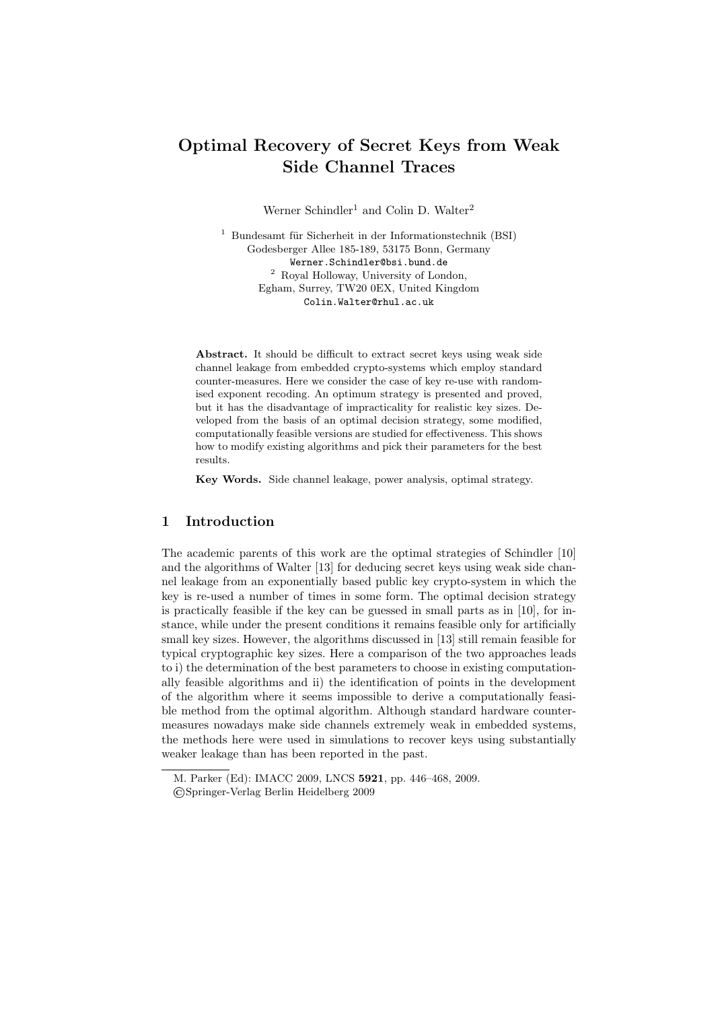# Optimal Recovery of Secret Keys from Weak Side Channel Traces

Werner Schindler<sup>1</sup> and Colin D. Walter<sup>2</sup>

 $1$  Bundesamt für Sicherheit in der Informationstechnik (BSI) Godesberger Allee 185-189, 53175 Bonn, Germany Werner.Schindler@bsi.bund.de <sup>2</sup> Royal Holloway, University of London, Egham, Surrey, TW20 0EX, United Kingdom Colin.Walter@rhul.ac.uk

Abstract. It should be difficult to extract secret keys using weak side channel leakage from embedded crypto-systems which employ standard counter-measures. Here we consider the case of key re-use with randomised exponent recoding. An optimum strategy is presented and proved, but it has the disadvantage of impracticality for realistic key sizes. Developed from the basis of an optimal decision strategy, some modified, computationally feasible versions are studied for effectiveness. This shows how to modify existing algorithms and pick their parameters for the best results.

Key Words. Side channel leakage, power analysis, optimal strategy.

#### 1 Introduction

The academic parents of this work are the optimal strategies of Schindler [10] and the algorithms of Walter [13] for deducing secret keys using weak side channel leakage from an exponentially based public key crypto-system in which the key is re-used a number of times in some form. The optimal decision strategy is practically feasible if the key can be guessed in small parts as in [10], for instance, while under the present conditions it remains feasible only for artificially small key sizes. However, the algorithms discussed in [13] still remain feasible for typical cryptographic key sizes. Here a comparison of the two approaches leads to i) the determination of the best parameters to choose in existing computationally feasible algorithms and ii) the identification of points in the development of the algorithm where it seems impossible to derive a computationally feasible method from the optimal algorithm. Although standard hardware countermeasures nowadays make side channels extremely weak in embedded systems, the methods here were used in simulations to recover keys using substantially weaker leakage than has been reported in the past.

M. Parker (Ed): IMACC 2009, LNCS 5921, pp. 446–468, 2009.

<sup>©</sup>Springer-Verlag Berlin Heidelberg 2009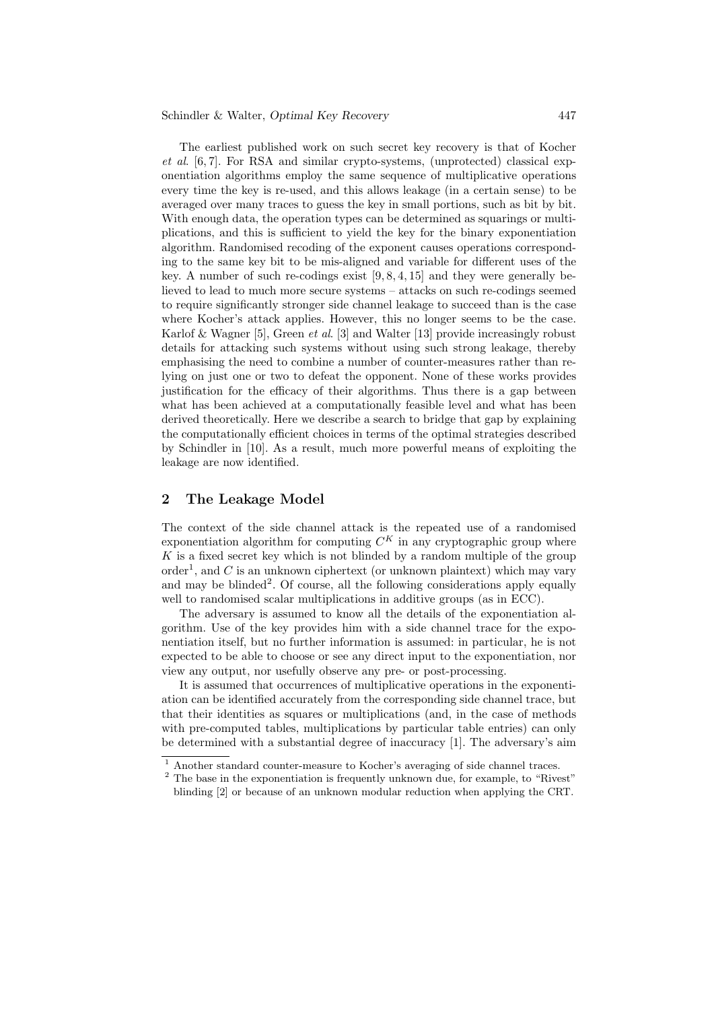The earliest published work on such secret key recovery is that of Kocher et al. [6, 7]. For RSA and similar crypto-systems, (unprotected) classical exponentiation algorithms employ the same sequence of multiplicative operations every time the key is re-used, and this allows leakage (in a certain sense) to be averaged over many traces to guess the key in small portions, such as bit by bit. With enough data, the operation types can be determined as squarings or multiplications, and this is sufficient to yield the key for the binary exponentiation algorithm. Randomised recoding of the exponent causes operations corresponding to the same key bit to be mis-aligned and variable for different uses of the key. A number of such re-codings exist [9, 8, 4, 15] and they were generally believed to lead to much more secure systems – attacks on such re-codings seemed to require significantly stronger side channel leakage to succeed than is the case where Kocher's attack applies. However, this no longer seems to be the case. Karlof & Wagner [5], Green et al. [3] and Walter [13] provide increasingly robust details for attacking such systems without using such strong leakage, thereby emphasising the need to combine a number of counter-measures rather than relying on just one or two to defeat the opponent. None of these works provides justification for the efficacy of their algorithms. Thus there is a gap between what has been achieved at a computationally feasible level and what has been derived theoretically. Here we describe a search to bridge that gap by explaining the computationally efficient choices in terms of the optimal strategies described by Schindler in [10]. As a result, much more powerful means of exploiting the leakage are now identified.

## 2 The Leakage Model

The context of the side channel attack is the repeated use of a randomised exponentiation algorithm for computing  $C<sup>K</sup>$  in any cryptographic group where  $K$  is a fixed secret key which is not blinded by a random multiple of the group  $\text{order}^1$ , and C is an unknown ciphertext (or unknown plaintext) which may vary and may be blinded<sup>2</sup>. Of course, all the following considerations apply equally well to randomised scalar multiplications in additive groups (as in ECC).

The adversary is assumed to know all the details of the exponentiation algorithm. Use of the key provides him with a side channel trace for the exponentiation itself, but no further information is assumed: in particular, he is not expected to be able to choose or see any direct input to the exponentiation, nor view any output, nor usefully observe any pre- or post-processing.

It is assumed that occurrences of multiplicative operations in the exponentiation can be identified accurately from the corresponding side channel trace, but that their identities as squares or multiplications (and, in the case of methods with pre-computed tables, multiplications by particular table entries) can only be determined with a substantial degree of inaccuracy [1]. The adversary's aim

 $^{\rm 1}$  Another standard counter-measure to Kocher's averaging of side channel traces.

<sup>&</sup>lt;sup>2</sup> The base in the exponentiation is frequently unknown due, for example, to "Rivest" blinding [2] or because of an unknown modular reduction when applying the CRT.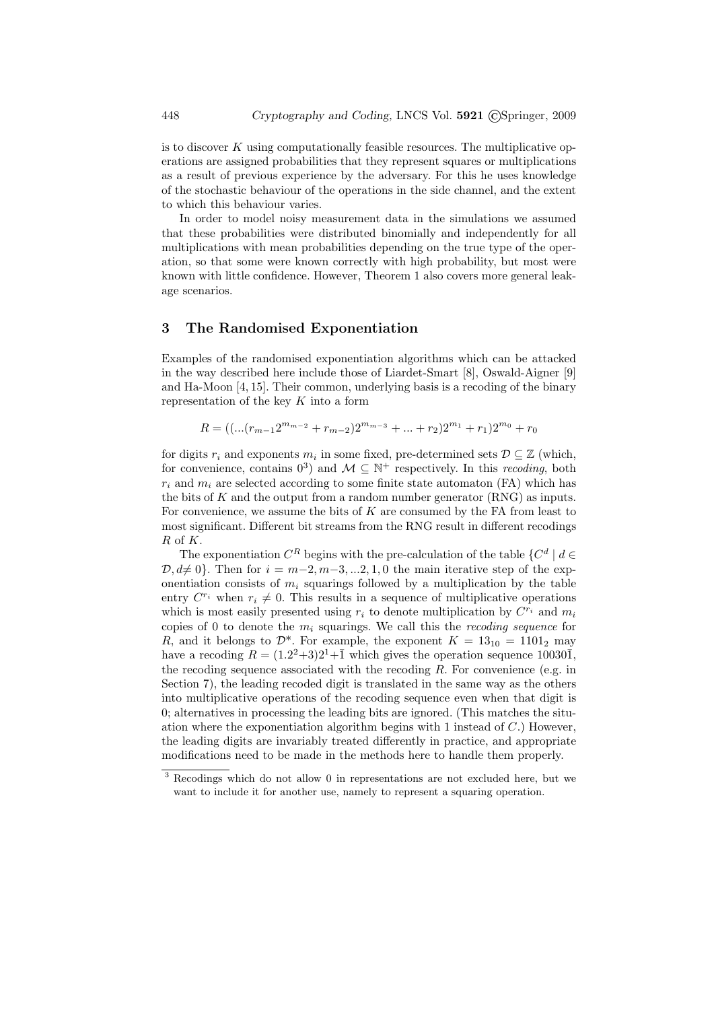is to discover  $K$  using computationally feasible resources. The multiplicative operations are assigned probabilities that they represent squares or multiplications as a result of previous experience by the adversary. For this he uses knowledge of the stochastic behaviour of the operations in the side channel, and the extent to which this behaviour varies.

In order to model noisy measurement data in the simulations we assumed that these probabilities were distributed binomially and independently for all multiplications with mean probabilities depending on the true type of the operation, so that some were known correctly with high probability, but most were known with little confidence. However, Theorem 1 also covers more general leakage scenarios.

## 3 The Randomised Exponentiation

Examples of the randomised exponentiation algorithms which can be attacked in the way described here include those of Liardet-Smart [8], Oswald-Aigner [9] and Ha-Moon [4, 15]. Their common, underlying basis is a recoding of the binary representation of the key  $K$  into a form

$$
R = \left( \left( \ldots (r_{m-1} 2^{m_{m-2}} + r_{m-2}) 2^{m_{m-3}} + \ldots + r_2 \right) 2^{m_1} + r_1 \right) 2^{m_0} + r_0
$$

for digits  $r_i$  and exponents  $m_i$  in some fixed, pre-determined sets  $\mathcal{D} \subseteq \mathbb{Z}$  (which, for convenience, contains  $0^3$ ) and  $\mathcal{M} \subseteq \mathbb{N}^+$  respectively. In this *recoding*, both  $r_i$  and  $m_i$  are selected according to some finite state automaton (FA) which has the bits of K and the output from a random number generator  $(RNG)$  as inputs. For convenience, we assume the bits of  $K$  are consumed by the FA from least to most significant. Different bit streams from the RNG result in different recodings R of K.

The exponentiation  $C^R$  begins with the pre-calculation of the table  $\{C^d \mid d \in$  $\mathcal{D}, d\neq 0$ . Then for  $i = m-2, m-3, \ldots, 2, 1, 0$  the main iterative step of the exponentiation consists of  $m_i$  squarings followed by a multiplication by the table entry  $C^{r_i}$  when  $r_i \neq 0$ . This results in a sequence of multiplicative operations which is most easily presented using  $r_i$  to denote multiplication by  $C^{r_i}$  and  $m_i$ copies of 0 to denote the  $m_i$  squarings. We call this the *recoding sequence* for R, and it belongs to  $\mathcal{D}^*$ . For example, the exponent  $K = 13_{10} = 1101_2$  may have a recoding  $R = (1.2^2 + 3)2^1 + \overline{1}$  which gives the operation sequence 10030 $\overline{1}$ , the recoding sequence associated with the recoding  $R$ . For convenience (e.g. in Section 7), the leading recoded digit is translated in the same way as the others into multiplicative operations of the recoding sequence even when that digit is 0; alternatives in processing the leading bits are ignored. (This matches the situation where the exponentiation algorithm begins with 1 instead of  $C$ .) However, the leading digits are invariably treated differently in practice, and appropriate modifications need to be made in the methods here to handle them properly.

<sup>&</sup>lt;sup>3</sup> Recodings which do not allow 0 in representations are not excluded here, but we want to include it for another use, namely to represent a squaring operation.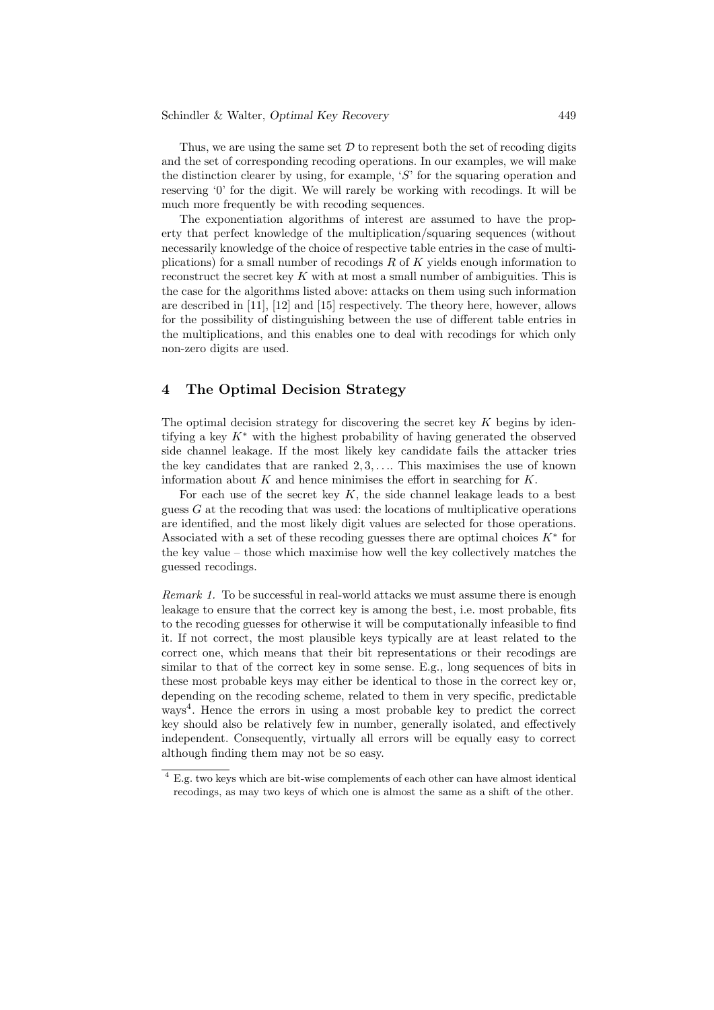Thus, we are using the same set  $\mathcal D$  to represent both the set of recoding digits and the set of corresponding recoding operations. In our examples, we will make the distinction clearer by using, for example,  $'S'$  for the squaring operation and reserving '0' for the digit. We will rarely be working with recodings. It will be much more frequently be with recoding sequences.

The exponentiation algorithms of interest are assumed to have the property that perfect knowledge of the multiplication/squaring sequences (without necessarily knowledge of the choice of respective table entries in the case of multiplications) for a small number of recodings  $R$  of  $K$  yields enough information to reconstruct the secret key  $K$  with at most a small number of ambiguities. This is the case for the algorithms listed above: attacks on them using such information are described in [11], [12] and [15] respectively. The theory here, however, allows for the possibility of distinguishing between the use of different table entries in the multiplications, and this enables one to deal with recodings for which only non-zero digits are used.

# 4 The Optimal Decision Strategy

The optimal decision strategy for discovering the secret key  $K$  begins by identifying a key  $K^*$  with the highest probability of having generated the observed side channel leakage. If the most likely key candidate fails the attacker tries the key candidates that are ranked  $2, 3, \ldots$  This maximises the use of known information about K and hence minimises the effort in searching for  $K$ .

For each use of the secret key  $K$ , the side channel leakage leads to a best guess  $G$  at the recoding that was used: the locations of multiplicative operations are identified, and the most likely digit values are selected for those operations. Associated with a set of these recoding guesses there are optimal choices  $K^*$  for the key value – those which maximise how well the key collectively matches the guessed recodings.

Remark 1. To be successful in real-world attacks we must assume there is enough leakage to ensure that the correct key is among the best, i.e. most probable, fits to the recoding guesses for otherwise it will be computationally infeasible to find it. If not correct, the most plausible keys typically are at least related to the correct one, which means that their bit representations or their recodings are similar to that of the correct key in some sense. E.g., long sequences of bits in these most probable keys may either be identical to those in the correct key or, depending on the recoding scheme, related to them in very specific, predictable ways<sup>4</sup>. Hence the errors in using a most probable key to predict the correct key should also be relatively few in number, generally isolated, and effectively independent. Consequently, virtually all errors will be equally easy to correct although finding them may not be so easy.

<sup>4</sup> E.g. two keys which are bit-wise complements of each other can have almost identical recodings, as may two keys of which one is almost the same as a shift of the other.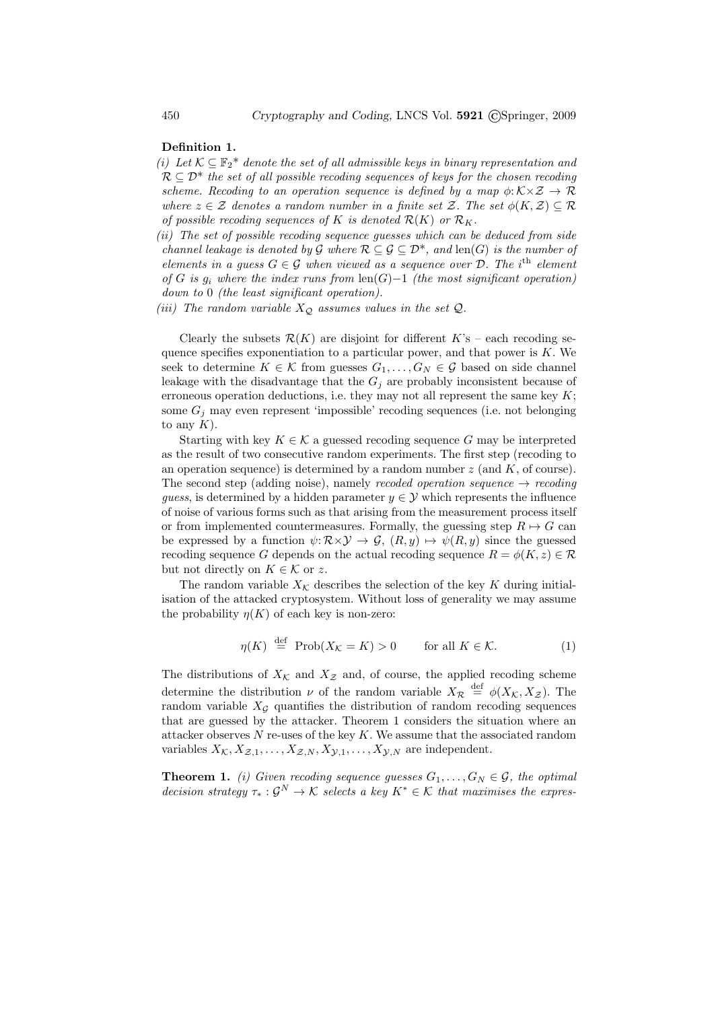#### Definition 1.

(i) Let  $\mathcal{K} \subseteq \mathbb{F}_2^*$  denote the set of all admissible keys in binary representation and  $\mathcal{R} \subseteq \mathcal{D}^*$  the set of all possible recoding sequences of keys for the chosen recoding scheme. Recoding to an operation sequence is defined by a map  $\phi: K \times \mathcal{Z} \to \mathcal{R}$ where  $z \in \mathcal{Z}$  denotes a random number in a finite set  $\mathcal{Z}$ . The set  $\phi(K, \mathcal{Z}) \subseteq \mathcal{R}$ of possible recoding sequences of K is denoted  $\mathcal{R}(K)$  or  $\mathcal{R}_K$ .

(ii) The set of possible recoding sequence guesses which can be deduced from side channel leakage is denoted by G where  $\mathcal{R} \subseteq \mathcal{G} \subseteq \mathcal{D}^*$ , and len(G) is the number of elements in a guess  $G \in \mathcal{G}$  when viewed as a sequence over  $\mathcal{D}$ . The i<sup>th</sup> element of G is  $g_i$  where the index runs from len(G)–1 (the most significant operation) down to 0 (the least significant operation).

(iii) The random variable  $X_{\mathcal{Q}}$  assumes values in the set  $\mathcal{Q}$ .

Clearly the subsets  $\mathcal{R}(K)$  are disjoint for different  $K$ 's – each recoding sequence specifies exponentiation to a particular power, and that power is  $K$ . We seek to determine  $K \in \mathcal{K}$  from guesses  $G_1, \ldots, G_N \in \mathcal{G}$  based on side channel leakage with the disadvantage that the  $G_j$  are probably inconsistent because of erroneous operation deductions, i.e. they may not all represent the same key  $K$ ; some  $G_i$  may even represent 'impossible' recoding sequences (i.e. not belonging to any  $K$ ).

Starting with key  $K \in \mathcal{K}$  a guessed recoding sequence G may be interpreted as the result of two consecutive random experiments. The first step (recoding to an operation sequence) is determined by a random number  $z$  (and  $K$ , of course). The second step (adding noise), namely recoded operation sequence  $\rightarrow$  recoding quess, is determined by a hidden parameter  $y \in \mathcal{Y}$  which represents the influence of noise of various forms such as that arising from the measurement process itself or from implemented countermeasures. Formally, the guessing step  $R \mapsto G$  can be expressed by a function  $\psi: \mathcal{R} \times \mathcal{Y} \to \mathcal{G}, (R, y) \mapsto \psi(R, y)$  since the guessed recoding sequence G depends on the actual recoding sequence  $R = \phi(K, z) \in \mathcal{R}$ but not directly on  $K \in \mathcal{K}$  or z.

The random variable  $X_K$  describes the selection of the key K during initialisation of the attacked cryptosystem. Without loss of generality we may assume the probability  $\eta(K)$  of each key is non-zero:

$$
\eta(K) \stackrel{\text{def}}{=} \text{Prob}(X_{\mathcal{K}} = K) > 0 \qquad \text{for all } K \in \mathcal{K}.\tag{1}
$$

The distributions of  $X_{\mathcal{K}}$  and  $X_{\mathcal{Z}}$  and, of course, the applied recoding scheme determine the distribution  $\nu$  of the random variable  $X_{\mathcal{R}} \stackrel{\text{def}}{=} \phi(X_{\mathcal{K}}, X_{\mathcal{Z}})$ . The random variable  $X<sub>G</sub>$  quantifies the distribution of random recoding sequences that are guessed by the attacker. Theorem 1 considers the situation where an attacker observes  $N$  re-uses of the key  $K$ . We assume that the associated random variables  $X_K, X_{\mathcal{Z},1}, \ldots, X_{\mathcal{Z},N}, X_{\mathcal{Y},1}, \ldots, X_{\mathcal{Y},N}$  are independent.

**Theorem 1.** (i) Given recoding sequence guesses  $G_1, \ldots, G_N \in \mathcal{G}$ , the optimal decision strategy  $\tau_* : \mathcal{G}^N \to \mathcal{K}$  selects a key  $K^* \in \mathcal{K}$  that maximises the expres-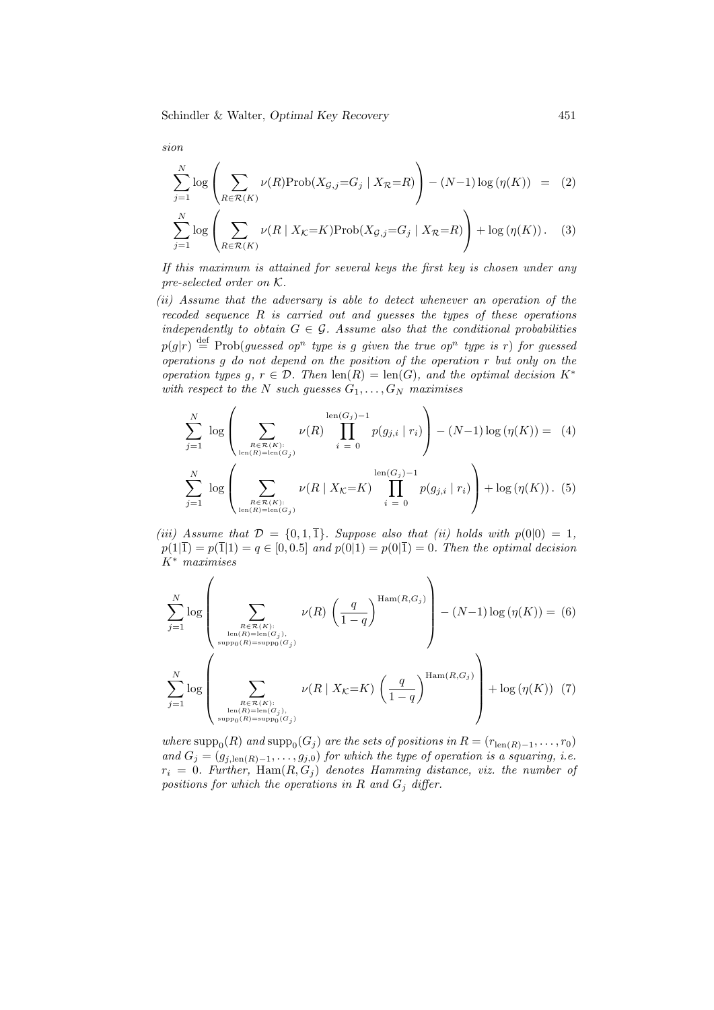sion

$$
\sum_{j=1}^{N} \log \left( \sum_{R \in \mathcal{R}(K)} \nu(R) \text{Prob}(X_{\mathcal{G},j} = G_j \mid X_{\mathcal{R}} = R) \right) - (N-1) \log \left( \eta(K) \right) = (2)
$$

$$
\sum_{j=1}^{N} \log \left( \sum_{R \in \mathcal{R}(K)} \nu(R \mid X_{\mathcal{K}} = K) \text{Prob}(X_{\mathcal{G},j} = G_j \mid X_{\mathcal{R}} = R) \right) + \log \left( \eta(K) \right). \tag{3}
$$

If this maximum is attained for several keys the first key is chosen under any pre-selected order on K.

(ii) Assume that the adversary is able to detect whenever an operation of the recoded sequence  $R$  is carried out and guesses the types of these operations independently to obtain  $G \in \mathcal{G}$ . Assume also that the conditional probabilities  $p(g|r) \stackrel{\text{def}}{=} \text{Prob}(guessed\; op^n \; type \; is \; g \; given \; the \; true \; op^n \; type \; is \; r) \; for \; guessed$ operations g do not depend on the position of the operation r but only on the operation types g,  $r \in \mathcal{D}$ . Then  $\text{len}(R) = \text{len}(G)$ , and the optimal decision  $K^*$ with respect to the N such guesses  $G_1, \ldots, G_N$  maximises

$$
\sum_{j=1}^{N} \log \left( \sum_{\substack{R \in \mathcal{R}(K):\\ \text{len}(R) = \text{len}(G_j)}} \nu(R) \prod_{i=0}^{\text{len}(G_j)-1} p(g_{j,i} | r_i) \right) - (N-1) \log (\eta(K)) = (4)
$$
\n
$$
\sum_{j=1}^{N} \log \left( \sum_{\substack{R \in \mathcal{R}(K):\\ \text{len}(R) = \text{len}(G_j)}} \nu(R | X_K = K) \prod_{i=0}^{\text{len}(G_j)-1} p(g_{j,i} | r_i) \right) + \log (\eta(K)). \tag{5}
$$

(iii) Assume that  $\mathcal{D} = \{0, 1, \overline{1}\}\$ . Suppose also that (ii) holds with  $p(0|0) = 1$ ,  $p(1|\overline{1}) = p(\overline{1}|1) = q \in [0, 0.5]$  and  $p(0|1) = p(0|\overline{1}) = 0$ . Then the optimal decision K<sup>∗</sup> maximises

$$
\sum_{j=1}^{N} \log \left( \sum_{\substack{R \in \mathcal{R}(K):\\ \text{supp}(R) = \text{supp}(G_j),\\ \text{supp}(R) = \text{supp}(G_j)}} \nu(R) \left( \frac{q}{1-q} \right)^{\text{Ham}(R, G_j)} \right) - (N-1) \log (\eta(K)) = (6)
$$
\n
$$
\sum_{j=1}^{N} \log \left( \sum_{\substack{R \in \mathcal{R}(K):\\ \text{len}(R) = \text{len}(G_j),\\ \text{supp}(R) = \text{supp}(G_j)}} \nu(R \mid X_{\mathcal{K}} = K) \left( \frac{q}{1-q} \right)^{\text{Ham}(R, G_j)} \right) + \log (\eta(K)) \tag{7}
$$

where  $\text{supp}_0(R)$  and  $\text{supp}_0(G_j)$  are the sets of positions in  $R = (r_{\text{len}(R)-1}, \ldots, r_0)$ and  $G_j = (g_{j,\text{len}(R)-1}, \ldots, g_{j,0})$  for which the type of operation is a squaring, i.e.  $r_i = 0$ . Further, Ham $(R, G_j)$  denotes Hamming distance, viz. the number of positions for which the operations in R and  $G_i$  differ.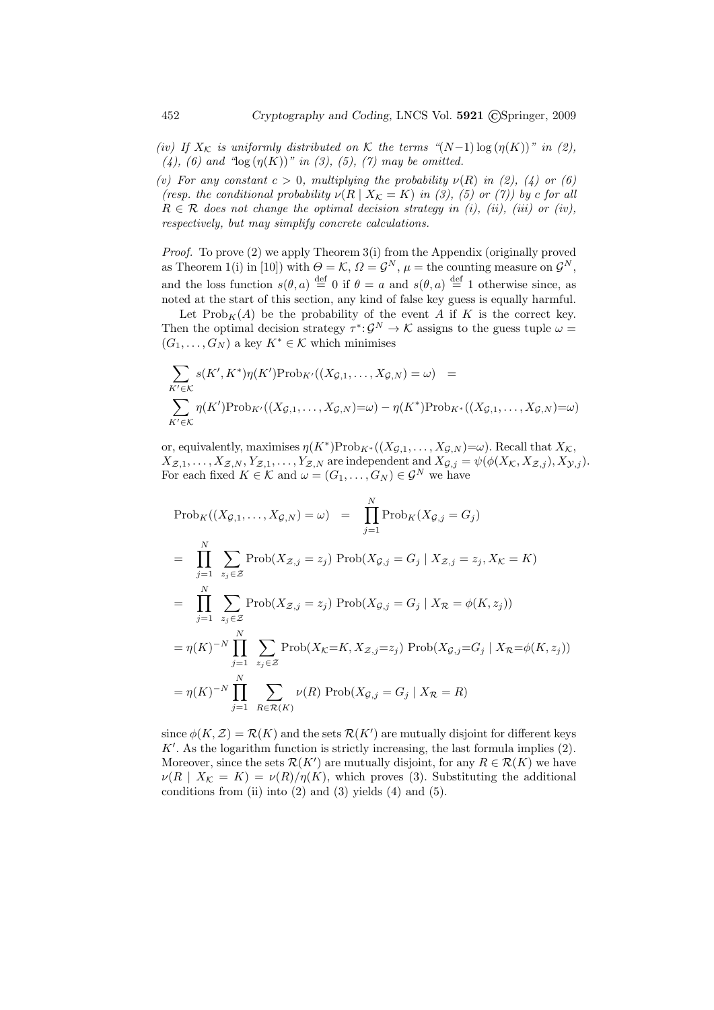(iv) If  $X_K$  is uniformly distributed on K the terms " $(N-1) \log(\eta(K))$ " in (2), (4), (6) and " $log(\eta(K))$ " in (3), (5), (7) may be omitted.

(v) For any constant  $c > 0$ , multiplying the probability  $\nu(R)$  in (2), (4) or (6) (resp. the conditional probability  $\nu(R \mid X_K = K)$  in (3), (5) or (7)) by c for all  $R \in \mathcal{R}$  does not change the optimal decision strategy in (i), (ii), (iii) or (iv), respectively, but may simplify concrete calculations.

Proof. To prove (2) we apply Theorem 3(i) from the Appendix (originally proved as Theorem 1(i) in [10]) with  $\Theta = \mathcal{K}, \Omega = \mathcal{G}^N, \mu =$  the counting measure on  $\mathcal{G}^N$ , and the loss function  $s(\theta, a) \stackrel{\text{def}}{=} 0$  if  $\theta = a$  and  $s(\theta, a) \stackrel{\text{def}}{=} 1$  otherwise since, as noted at the start of this section, any kind of false key guess is equally harmful.

Let  $\text{Prob}_K(A)$  be the probability of the event A if K is the correct key. Then the optimal decision strategy  $\tau^* \colon \mathcal{G}^N \to \mathcal{K}$  assigns to the guess tuple  $\omega =$  $(G_1, \ldots, G_N)$  a key  $K^* \in \mathcal{K}$  which minimises

$$
\sum_{K' \in \mathcal{K}} s(K', K^*) \eta(K') \text{Prob}_{K'}((X_{\mathcal{G},1}, \dots, X_{\mathcal{G},N}) = \omega) =
$$
\n
$$
\sum_{K' \in \mathcal{K}} \eta(K') \text{Prob}_{K'}((X_{\mathcal{G},1}, \dots, X_{\mathcal{G},N}) = \omega) - \eta(K^*) \text{Prob}_{K^*}((X_{\mathcal{G},1}, \dots, X_{\mathcal{G},N}) = \omega)
$$

or, equivalently, maximises  $\eta(K^*)\text{Prob}_{K^*}((X_{\mathcal{G},1},\ldots,X_{\mathcal{G},N})=\omega)$ . Recall that  $X_{\mathcal{K}},$  $X_{\mathcal{Z},1}, \ldots, X_{\mathcal{Z},N}, Y_{\mathcal{Z},1}, \ldots, Y_{\mathcal{Z},N}$  are independent and  $X_{\mathcal{G},j} = \psi(\phi(X_{\mathcal{K}}, X_{\mathcal{Z},j}), X_{\mathcal{Y},j}).$ For each fixed  $K \in \mathcal{K}$  and  $\omega = (G_1, \ldots, G_N) \in \mathcal{G}^N$  we have

$$
\text{Prob}_K((X_{\mathcal{G},1},\ldots,X_{\mathcal{G},N})=\omega) = \prod_{j=1}^N \text{Prob}_K(X_{\mathcal{G},j}=G_j)
$$
  
= 
$$
\prod_{j=1}^N \sum_{z_j \in \mathcal{Z}} \text{Prob}(X_{\mathcal{Z},j}=z_j) \text{Prob}(X_{\mathcal{G},j}=G_j | X_{\mathcal{Z},j}=z_j, X_{\mathcal{K}}=K)
$$
  
= 
$$
\prod_{j=1}^N \sum_{z_j \in \mathcal{Z}} \text{Prob}(X_{\mathcal{Z},j}=z_j) \text{Prob}(X_{\mathcal{G},j}=G_j | X_{\mathcal{R}}=\phi(K,z_j))
$$
  
= 
$$
\eta(K)^{-N} \prod_{j=1}^N \sum_{z_j \in \mathcal{Z}} \text{Prob}(X_{\mathcal{K}}=K, X_{\mathcal{Z},j}=z_j) \text{Prob}(X_{\mathcal{G},j}=G_j | X_{\mathcal{R}}=\phi(K,z_j))
$$
  
= 
$$
\eta(K)^{-N} \prod_{j=1}^N \sum_{R \in \mathcal{R}(K)} \nu(R) \text{Prob}(X_{\mathcal{G},j}=G_j | X_{\mathcal{R}}=R)
$$

since  $\phi(K, \mathcal{Z}) = \mathcal{R}(K)$  and the sets  $\mathcal{R}(K')$  are mutually disjoint for different keys  $K'$ . As the logarithm function is strictly increasing, the last formula implies  $(2)$ . Moreover, since the sets  $\mathcal{R}(K')$  are mutually disjoint, for any  $R \in \mathcal{R}(K)$  we have  $\nu(R \mid X_K = K) = \nu(R)/\eta(K)$ , which proves (3). Substituting the additional conditions from (ii) into  $(2)$  and  $(3)$  yields  $(4)$  and  $(5)$ .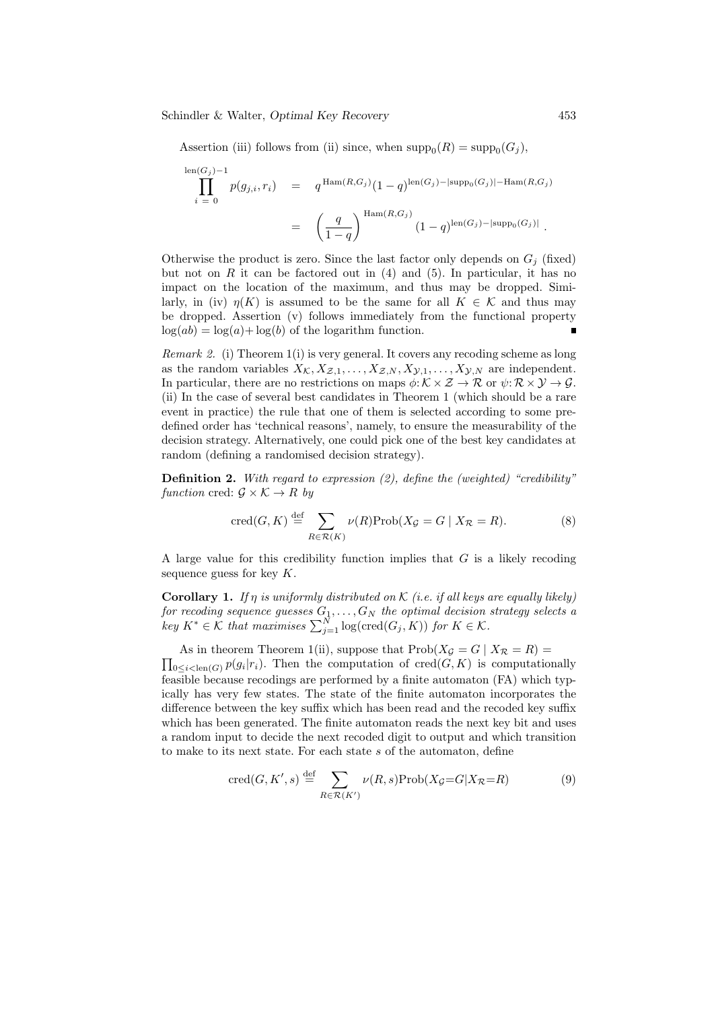Schindler & Walter, Optimal Key Recovery 453

Assertion (iii) follows from (ii) since, when  $\text{supp}_0(R) = \text{supp}_0(G_j)$ ,

$$
\prod_{i=0}^{\text{len}(G_j)-1} p(g_{j,i}, r_i) = q^{\text{Ham}(R, G_j)} (1-q)^{\text{len}(G_j) - |\text{supp}_0(G_j)| - \text{Ham}(R, G_j)}
$$

$$
= \left(\frac{q}{1-q}\right)^{\text{Ham}(R, G_j)} (1-q)^{\text{len}(G_j) - |\text{supp}_0(G_j)|}.
$$

Otherwise the product is zero. Since the last factor only depends on  $G_i$  (fixed) but not on  $R$  it can be factored out in  $(4)$  and  $(5)$ . In particular, it has no impact on the location of the maximum, and thus may be dropped. Similarly, in (iv)  $\eta(K)$  is assumed to be the same for all  $K \in \mathcal{K}$  and thus may be dropped. Assertion (v) follows immediately from the functional property  $log(ab) = log(a) + log(b)$  of the logarithm function.  $\blacksquare$ 

Remark 2. (i) Theorem 1(i) is very general. It covers any recoding scheme as long as the random variables  $X_{\mathcal{K}}, X_{\mathcal{Z},1}, \ldots, X_{\mathcal{Z},N}, X_{\mathcal{Y},1}, \ldots, X_{\mathcal{Y},N}$  are independent. In particular, there are no restrictions on maps  $\phi: \mathcal{K} \times \mathcal{Z} \to \mathcal{R}$  or  $\psi: \mathcal{R} \times \mathcal{Y} \to \mathcal{G}$ . (ii) In the case of several best candidates in Theorem 1 (which should be a rare event in practice) the rule that one of them is selected according to some predefined order has 'technical reasons', namely, to ensure the measurability of the decision strategy. Alternatively, one could pick one of the best key candidates at random (defining a randomised decision strategy).

**Definition 2.** With regard to expression  $(2)$ , define the (weighted) "credibility" function cred:  $\mathcal{G} \times \mathcal{K} \rightarrow R$  by

$$
\operatorname{cred}(G, K) \stackrel{\text{def}}{=} \sum_{R \in \mathcal{R}(K)} \nu(R) \operatorname{Prob}(X_{\mathcal{G}} = G \mid X_{\mathcal{R}} = R). \tag{8}
$$

A large value for this credibility function implies that  $G$  is a likely recoding sequence guess for key  $K$ .

Corollary 1. If  $\eta$  is uniformly distributed on K (i.e. if all keys are equally likely) for recoding sequence guesses  $G_1, \ldots, G_N$  the optimal decision strategy selects a  $key K^* \in \mathcal{K}$  that maximises  $\sum_{j=1}^{N} \log(\text{cred}(G_j, K))$  for  $K \in \mathcal{K}$ .

 $\prod_{0 \leq i < \text{len}(G)} p(g_i | r_i)$ . Then the computation of cred $(G, K)$  is computationally As in theorem Theorem 1(ii), suppose that  $Prob(X_G = G | X_R = R)$ feasible because recodings are performed by a finite automaton (FA) which typically has very few states. The state of the finite automaton incorporates the difference between the key suffix which has been read and the recoded key suffix which has been generated. The finite automaton reads the next key bit and uses a random input to decide the next recoded digit to output and which transition to make to its next state. For each state s of the automaton, define

$$
\text{cred}(G, K', s) \stackrel{\text{def}}{=} \sum_{R \in \mathcal{R}(K')} \nu(R, s) \text{Prob}(X_{\mathcal{G}} = G | X_{\mathcal{R}} = R) \tag{9}
$$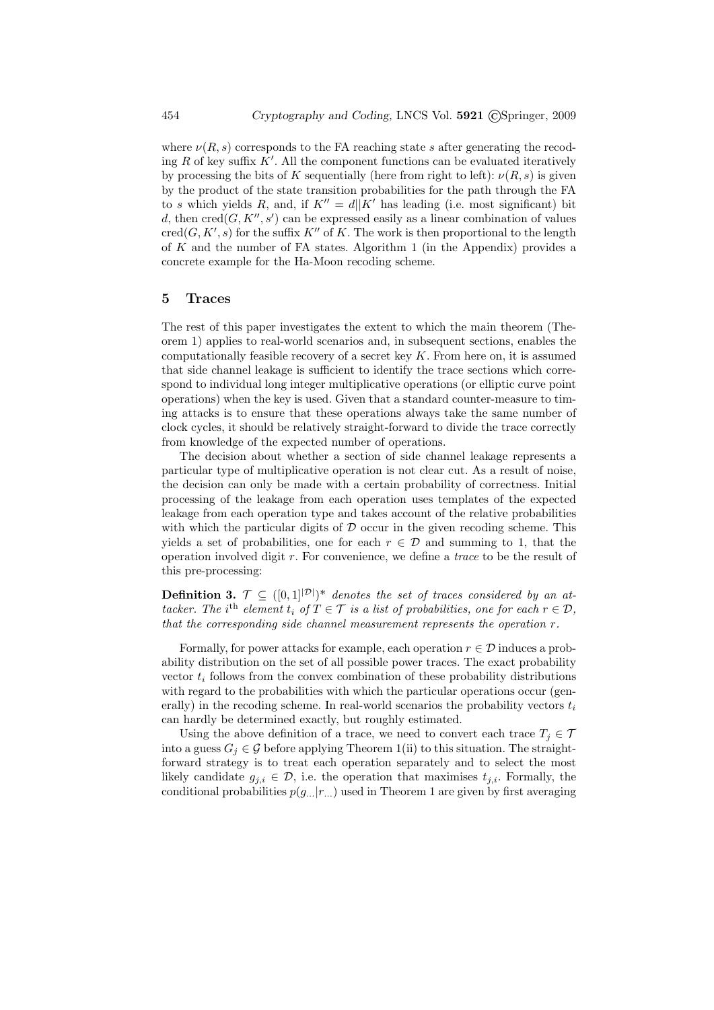where  $\nu(R, s)$  corresponds to the FA reaching state s after generating the recoding  $R$  of key suffix  $K'$ . All the component functions can be evaluated iteratively by processing the bits of K sequentially (here from right to left):  $\nu(R, s)$  is given by the product of the state transition probabilities for the path through the FA to s which yields R, and, if  $K'' = d||K'$  has leading (i.e. most significant) bit d, then  $\text{cred}(G, K'', s')$  can be expressed easily as a linear combination of values cred $(G, K', s)$  for the suffix  $K''$  of K. The work is then proportional to the length of  $K$  and the number of FA states. Algorithm 1 (in the Appendix) provides a concrete example for the Ha-Moon recoding scheme.

## 5 Traces

The rest of this paper investigates the extent to which the main theorem (Theorem 1) applies to real-world scenarios and, in subsequent sections, enables the computationally feasible recovery of a secret key  $K$ . From here on, it is assumed that side channel leakage is sufficient to identify the trace sections which correspond to individual long integer multiplicative operations (or elliptic curve point operations) when the key is used. Given that a standard counter-measure to timing attacks is to ensure that these operations always take the same number of clock cycles, it should be relatively straight-forward to divide the trace correctly from knowledge of the expected number of operations.

The decision about whether a section of side channel leakage represents a particular type of multiplicative operation is not clear cut. As a result of noise, the decision can only be made with a certain probability of correctness. Initial processing of the leakage from each operation uses templates of the expected leakage from each operation type and takes account of the relative probabilities with which the particular digits of  $\mathcal D$  occur in the given recoding scheme. This yields a set of probabilities, one for each  $r \in \mathcal{D}$  and summing to 1, that the operation involved digit  $r$ . For convenience, we define a *trace* to be the result of this pre-processing:

**Definition 3.**  $\mathcal{T} \subseteq ([0,1]^{|\mathcal{D}|})^*$  denotes the set of traces considered by an attacker. The i<sup>th</sup> element  $t_i$  of  $T \in \mathcal{T}$  is a list of probabilities, one for each  $r \in \mathcal{D}$ , that the corresponding side channel measurement represents the operation r.

Formally, for power attacks for example, each operation  $r \in \mathcal{D}$  induces a probability distribution on the set of all possible power traces. The exact probability vector  $t_i$  follows from the convex combination of these probability distributions with regard to the probabilities with which the particular operations occur (generally) in the recoding scheme. In real-world scenarios the probability vectors  $t_i$ can hardly be determined exactly, but roughly estimated.

Using the above definition of a trace, we need to convert each trace  $T_i \in \mathcal{T}$ into a guess  $G_i \in \mathcal{G}$  before applying Theorem 1(ii) to this situation. The straightforward strategy is to treat each operation separately and to select the most likely candidate  $g_{j,i} \in \mathcal{D}$ , i.e. the operation that maximises  $t_{j,i}$ . Formally, the conditional probabilities  $p(g_{\dots}|r_{\dots})$  used in Theorem 1 are given by first averaging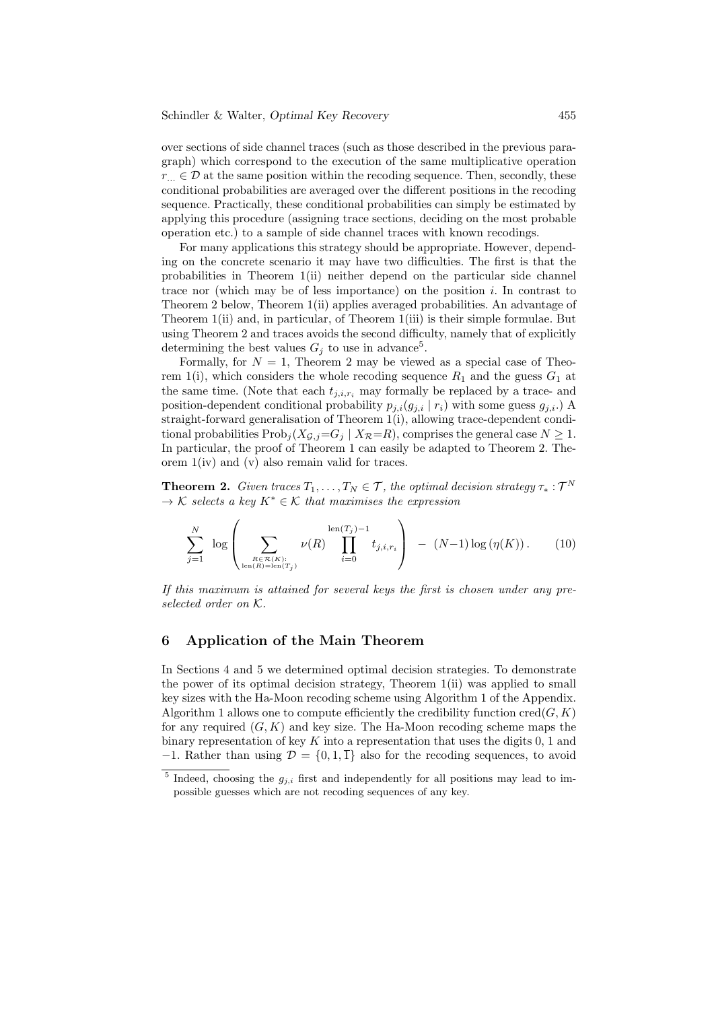over sections of side channel traces (such as those described in the previous paragraph) which correspond to the execution of the same multiplicative operation  $r_{\dots} \in \mathcal{D}$  at the same position within the recoding sequence. Then, secondly, these conditional probabilities are averaged over the different positions in the recoding sequence. Practically, these conditional probabilities can simply be estimated by applying this procedure (assigning trace sections, deciding on the most probable operation etc.) to a sample of side channel traces with known recodings.

For many applications this strategy should be appropriate. However, depending on the concrete scenario it may have two difficulties. The first is that the probabilities in Theorem 1(ii) neither depend on the particular side channel trace nor (which may be of less importance) on the position  $i$ . In contrast to Theorem 2 below, Theorem 1(ii) applies averaged probabilities. An advantage of Theorem 1(ii) and, in particular, of Theorem 1(iii) is their simple formulae. But using Theorem 2 and traces avoids the second difficulty, namely that of explicitly determining the best values  $G_j$  to use in advance<sup>5</sup>.

Formally, for  $N = 1$ , Theorem 2 may be viewed as a special case of Theorem 1(i), which considers the whole recoding sequence  $R_1$  and the guess  $G_1$  at the same time. (Note that each  $t_{j,i,r_i}$  may formally be replaced by a trace- and position-dependent conditional probability  $p_{i,i}(g_{i,i} | r_i)$  with some guess  $g_{i,i}$ .) A straight-forward generalisation of Theorem 1(i), allowing trace-dependent conditional probabilities  $\text{Prob}_j(X_{\mathcal{G},j}=G_j \mid X_{\mathcal{R}}=R)$ , comprises the general case  $N \geq 1$ . In particular, the proof of Theorem 1 can easily be adapted to Theorem 2. Theorem 1(iv) and (v) also remain valid for traces.

**Theorem 2.** Given traces  $T_1, \ldots, T_N \in \mathcal{T}$ , the optimal decision strategy  $\tau_* : \mathcal{T}^N$  $\rightarrow \mathcal{K}$  selects a key  $K^* \in \mathcal{K}$  that maximises the expression

$$
\sum_{j=1}^{N} \log \left( \sum_{\substack{R \in \mathcal{R}(K):\\ \operatorname{len}(R) = \operatorname{len}(T_j)}} \nu(R) \prod_{i=0}^{\operatorname{len}(T_j)-1} t_{j,i,r_i} \right) - (N-1) \log (\eta(K)). \tag{10}
$$

If this maximum is attained for several keys the first is chosen under any preselected order on K.

## 6 Application of the Main Theorem

In Sections 4 and 5 we determined optimal decision strategies. To demonstrate the power of its optimal decision strategy, Theorem 1(ii) was applied to small key sizes with the Ha-Moon recoding scheme using Algorithm 1 of the Appendix. Algorithm 1 allows one to compute efficiently the credibility function  $\text{cred}(G, K)$ for any required  $(G, K)$  and key size. The Ha-Moon recoding scheme maps the binary representation of key  $K$  into a representation that uses the digits  $0, 1$  and  $-1$ . Rather than using  $\mathcal{D} = \{0, 1, \overline{1}\}\$ also for the recoding sequences, to avoid

<sup>&</sup>lt;sup>5</sup> Indeed, choosing the  $g_{j,i}$  first and independently for all positions may lead to impossible guesses which are not recoding sequences of any key.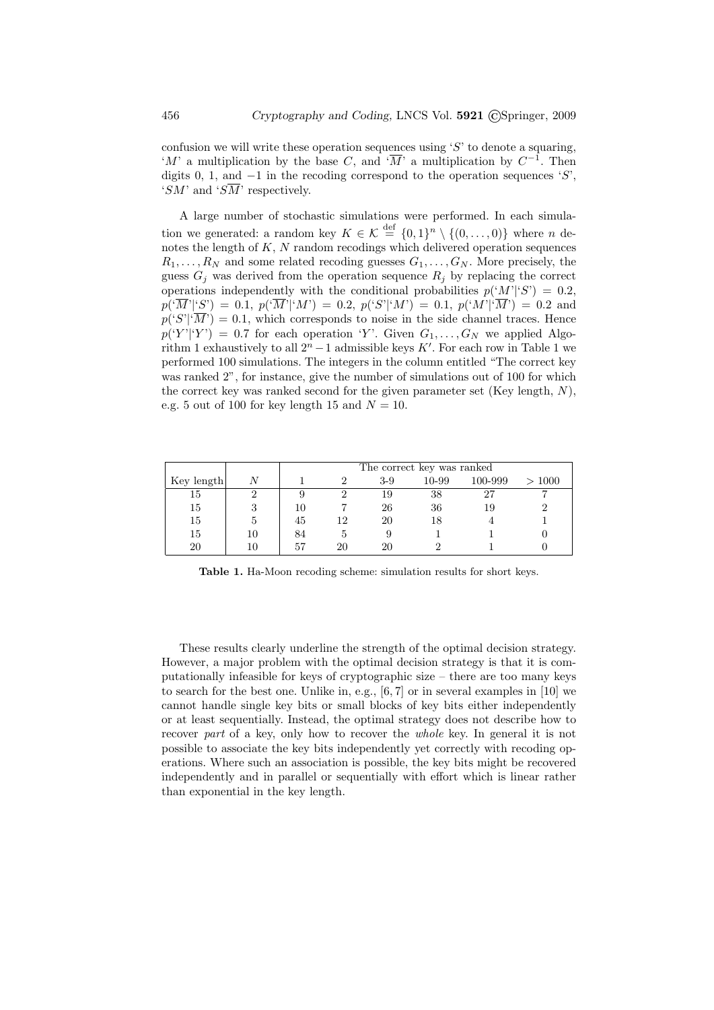confusion we will write these operation sequences using  $'S'$  to denote a squaring, 'M' a multiplication by the base C, and ' $\overline{M}$ ' a multiplication by  $C^{-1}$ . Then digits 0, 1, and  $-1$  in the recoding correspond to the operation sequences 'S', 'SM' and ' $S\overline{M}$ ' respectively.

A large number of stochastic simulations were performed. In each simulation we generated: a random key  $K \in \mathcal{K} \stackrel{\text{def}}{=} \{0,1\}^n \setminus \{(0,\ldots,0)\}$  where n denotes the length of  $K$ ,  $N$  random recodings which delivered operation sequences  $R_1, \ldots, R_N$  and some related recoding guesses  $G_1, \ldots, G_N$ . More precisely, the guess  $G_i$  was derived from the operation sequence  $R_i$  by replacing the correct operations independently with the conditional probabilities  $p('M')(S') = 0.2$ ,  $p(\sqrt[m]{M})^{\prime}|S\rangle = 0.1, p(\sqrt[m]{M})^{\prime}|M\rangle = 0.2, p(\sqrt[m]{M})^{\prime}|M\rangle = 0.1, p(\sqrt[m]{M})^{\prime}|\overline{M}\rangle = 0.2$  and  $p('S''](M') = 0.1$ , which corresponds to noise in the side channel traces. Hence  $p(Y'|Y') = 0.7$  for each operation 'Y'. Given  $G_1, \ldots, G_N$  we applied Algorithm 1 exhaustively to all  $2<sup>n</sup> - 1$  admissible keys K'. For each row in Table 1 we performed 100 simulations. The integers in the column entitled "The correct key was ranked 2", for instance, give the number of simulations out of 100 for which the correct key was ranked second for the given parameter set  $(Key length, N)$ , e.g. 5 out of 100 for key length 15 and  $N = 10$ .

|            |    | The correct key was ranked |    |       |       |         |       |  |
|------------|----|----------------------------|----|-------|-------|---------|-------|--|
| Key length | N  |                            |    | $3-9$ | 10-99 | 100-999 | >1000 |  |
| 15         | າ  |                            |    | 19    | 38    | 97      |       |  |
| 15         |    | 10                         |    | 26    | 36    |         |       |  |
| 15         |    | 45                         | 12 | 20    | 18    |         |       |  |
| 15         | 10 | 84                         |    |       |       |         |       |  |
| 20         | 10 | 57                         | 20 | 20    |       |         |       |  |

Table 1. Ha-Moon recoding scheme: simulation results for short keys.

These results clearly underline the strength of the optimal decision strategy. However, a major problem with the optimal decision strategy is that it is computationally infeasible for keys of cryptographic size – there are too many keys to search for the best one. Unlike in, e.g., [6, 7] or in several examples in [10] we cannot handle single key bits or small blocks of key bits either independently or at least sequentially. Instead, the optimal strategy does not describe how to recover part of a key, only how to recover the whole key. In general it is not possible to associate the key bits independently yet correctly with recoding operations. Where such an association is possible, the key bits might be recovered independently and in parallel or sequentially with effort which is linear rather than exponential in the key length.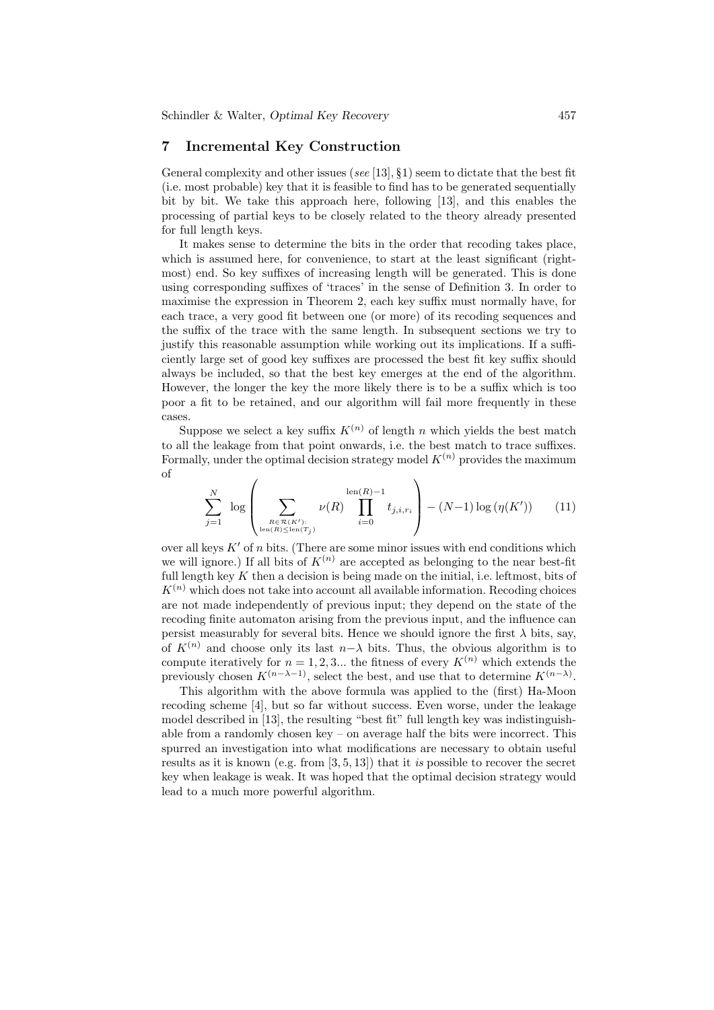Schindler & Walter, Optimal Key Recovery 457

#### 7 Incremental Key Construction

General complexity and other issues (see [13], §1) seem to dictate that the best fit (i.e. most probable) key that it is feasible to find has to be generated sequentially bit by bit. We take this approach here, following [13], and this enables the processing of partial keys to be closely related to the theory already presented for full length keys.

It makes sense to determine the bits in the order that recoding takes place, which is assumed here, for convenience, to start at the least significant (rightmost) end. So key suffixes of increasing length will be generated. This is done using corresponding suffixes of 'traces' in the sense of Definition 3. In order to maximise the expression in Theorem 2, each key suffix must normally have, for each trace, a very good fit between one (or more) of its recoding sequences and the suffix of the trace with the same length. In subsequent sections we try to justify this reasonable assumption while working out its implications. If a sufficiently large set of good key suffixes are processed the best fit key suffix should always be included, so that the best key emerges at the end of the algorithm. However, the longer the key the more likely there is to be a suffix which is too poor a fit to be retained, and our algorithm will fail more frequently in these cases.

Suppose we select a key suffix  $K^{(n)}$  of length n which yields the best match to all the leakage from that point onwards, i.e. the best match to trace suffixes. Formally, under the optimal decision strategy model  $K^{(n)}$  provides the maximum of

$$
\sum_{j=1}^{N} \log \left( \sum_{\substack{R \in \mathcal{R}(K') : \\ \ker(R) \le \ker(T_j)}} \nu(R) \prod_{i=0}^{\operatorname{len}(R)-1} t_{j,i,r_i} \right) - (N-1) \log (\eta(K')) \tag{11}
$$

over all keys  $K'$  of n bits. (There are some minor issues with end conditions which we will ignore.) If all bits of  $K^{(n)}$  are accepted as belonging to the near best-fit full length key  $K$  then a decision is being made on the initial, i.e. leftmost, bits of  $K^{(n)}$  which does not take into account all available information. Recoding choices are not made independently of previous input; they depend on the state of the recoding finite automaton arising from the previous input, and the influence can persist measurably for several bits. Hence we should ignore the first  $\lambda$  bits, say, of  $K^{(n)}$  and choose only its last  $n-\lambda$  bits. Thus, the obvious algorithm is to compute iteratively for  $n = 1, 2, 3...$  the fitness of every  $K^{(n)}$  which extends the previously chosen  $K^{(n-\lambda-1)}$ , select the best, and use that to determine  $K^{(n-\lambda)}$ .

This algorithm with the above formula was applied to the (first) Ha-Moon recoding scheme [4], but so far without success. Even worse, under the leakage model described in [13], the resulting "best fit" full length key was indistinguishable from a randomly chosen key – on average half the bits were incorrect. This spurred an investigation into what modifications are necessary to obtain useful results as it is known (e.g. from  $[3, 5, 13]$ ) that it is possible to recover the secret key when leakage is weak. It was hoped that the optimal decision strategy would lead to a much more powerful algorithm.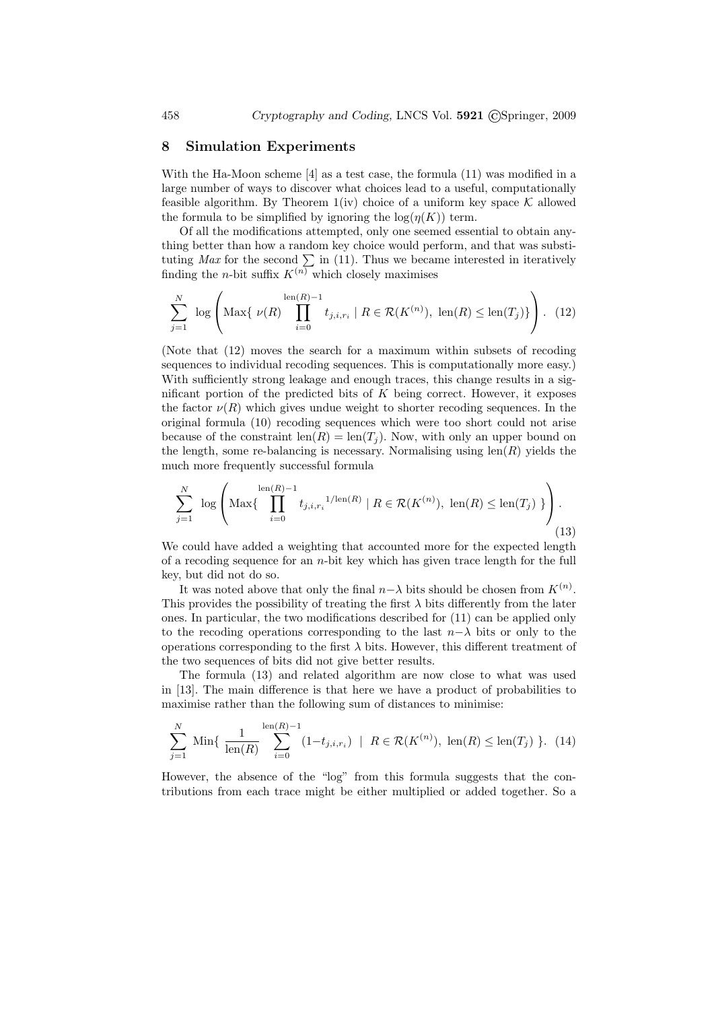#### 8 Simulation Experiments

With the Ha-Moon scheme [4] as a test case, the formula (11) was modified in a large number of ways to discover what choices lead to a useful, computationally feasible algorithm. By Theorem  $1(iv)$  choice of a uniform key space  $K$  allowed the formula to be simplified by ignoring the  $log(\eta(K))$  term.

Of all the modifications attempted, only one seemed essential to obtain anything better than how a random key choice would perform, and that was substituting Max for the second  $\sum$  in (11). Thus we became interested in iteratively finding the *n*-bit suffix  $K^{(n)}$  which closely maximises

$$
\sum_{j=1}^{N} \log \left( \max \{ \nu(R) \prod_{i=0}^{\text{len}(R)-1} t_{j,i,r_i} \mid R \in \mathcal{R}(K^{(n)}), \ \text{len}(R) \le \text{len}(T_j) \} \right). \tag{12}
$$

(Note that (12) moves the search for a maximum within subsets of recoding sequences to individual recoding sequences. This is computationally more easy.) With sufficiently strong leakage and enough traces, this change results in a significant portion of the predicted bits of  $K$  being correct. However, it exposes the factor  $\nu(R)$  which gives undue weight to shorter recoding sequences. In the original formula (10) recoding sequences which were too short could not arise because of the constraint  $len(R) = len(T_i)$ . Now, with only an upper bound on the length, some re-balancing is necessary. Normalising using  $len(R)$  yields the much more frequently successful formula

$$
\sum_{j=1}^{N} \log \left( \max \{ \prod_{i=0}^{\text{len}(R)-1} t_{j,i,r_i} \, 1/\text{len}(R) \mid R \in \mathcal{R}(K^{(n)}), \, \text{len}(R) \le \text{len}(T_j) \, \} \right). \tag{13}
$$

We could have added a weighting that accounted more for the expected length of a recoding sequence for an  $n$ -bit key which has given trace length for the full key, but did not do so.

It was noted above that only the final  $n-\lambda$  bits should be chosen from  $K^{(n)}$ . This provides the possibility of treating the first  $\lambda$  bits differently from the later ones. In particular, the two modifications described for (11) can be applied only to the recoding operations corresponding to the last  $n-\lambda$  bits or only to the operations corresponding to the first  $\lambda$  bits. However, this different treatment of the two sequences of bits did not give better results.

The formula (13) and related algorithm are now close to what was used in [13]. The main difference is that here we have a product of probabilities to maximise rather than the following sum of distances to minimise:

$$
\sum_{j=1}^{N} \text{Min}\left\{\frac{1}{\text{len}(R)} \sum_{i=0}^{\text{len}(R)-1} (1-t_{j,i,r_i}) \mid R \in \mathcal{R}(K^{(n)}), \text{ len}(R) \le \text{len}(T_j) \right\}. (14)
$$

However, the absence of the "log" from this formula suggests that the contributions from each trace might be either multiplied or added together. So a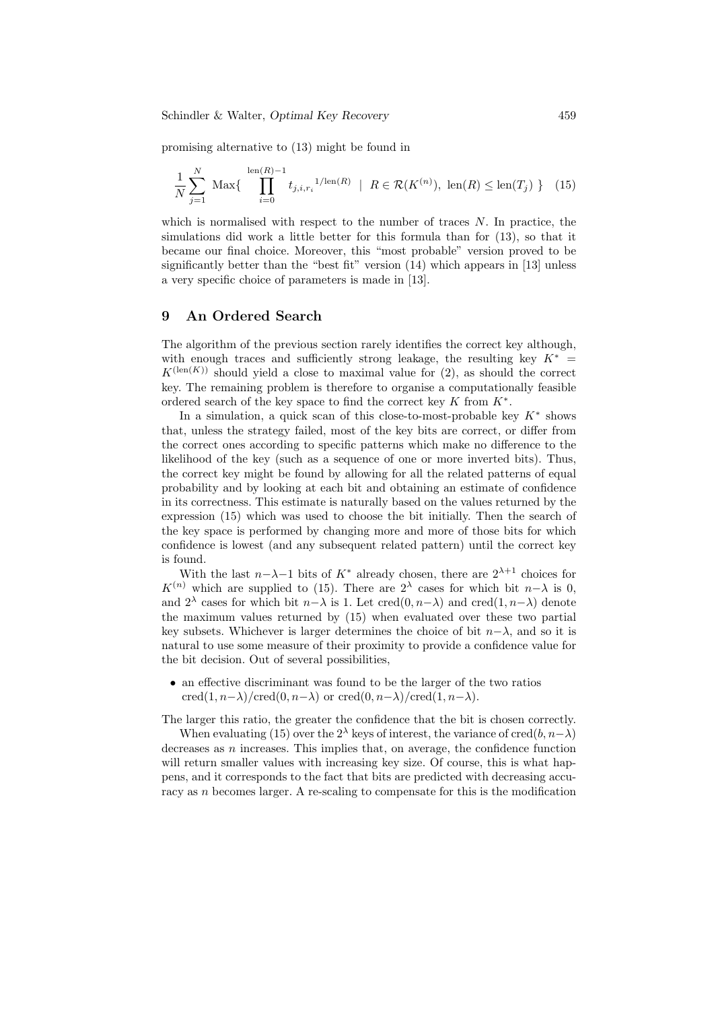Schindler & Walter, Optimal Key Recovery 459

promising alternative to (13) might be found in

$$
\frac{1}{N} \sum_{j=1}^{N} \text{Max} \{ \prod_{i=0}^{\text{len}(R)-1} t_{j,i,r_i} \, 1/\text{len}(R) \mid R \in \mathcal{R}(K^{(n)}), \text{ len}(R) \le \text{len}(T_j) \} \tag{15}
$$

which is normalised with respect to the number of traces  $N$ . In practice, the simulations did work a little better for this formula than for (13), so that it became our final choice. Moreover, this "most probable" version proved to be significantly better than the "best fit" version (14) which appears in [13] unless a very specific choice of parameters is made in [13].

#### 9 An Ordered Search

The algorithm of the previous section rarely identifies the correct key although, with enough traces and sufficiently strong leakage, the resulting key  $K^* =$  $K^{(\text{len}(K))}$  should yield a close to maximal value for (2), as should the correct key. The remaining problem is therefore to organise a computationally feasible ordered search of the key space to find the correct key  $K$  from  $K^*$ .

In a simulation, a quick scan of this close-to-most-probable key  $K^*$  shows that, unless the strategy failed, most of the key bits are correct, or differ from the correct ones according to specific patterns which make no difference to the likelihood of the key (such as a sequence of one or more inverted bits). Thus, the correct key might be found by allowing for all the related patterns of equal probability and by looking at each bit and obtaining an estimate of confidence in its correctness. This estimate is naturally based on the values returned by the expression (15) which was used to choose the bit initially. Then the search of the key space is performed by changing more and more of those bits for which confidence is lowest (and any subsequent related pattern) until the correct key is found.

With the last  $n-\lambda-1$  bits of  $K^*$  already chosen, there are  $2^{\lambda+1}$  choices for  $K^{(n)}$  which are supplied to (15). There are  $2^{\lambda}$  cases for which bit  $n-\lambda$  is 0, and  $2^{\lambda}$  cases for which bit  $n-\lambda$  is 1. Let cred $(0, n-\lambda)$  and cred $(1, n-\lambda)$  denote the maximum values returned by (15) when evaluated over these two partial key subsets. Whichever is larger determines the choice of bit  $n-\lambda$ , and so it is natural to use some measure of their proximity to provide a confidence value for the bit decision. Out of several possibilities,

• an effective discriminant was found to be the larger of the two ratios cred $(1, n-\lambda)/\text{cred}(0, n-\lambda)$  or cred $(0, n-\lambda)/\text{cred}(1, n-\lambda)$ .

The larger this ratio, the greater the confidence that the bit is chosen correctly. When evaluating (15) over the  $2^{\lambda}$  keys of interest, the variance of cred(b,  $n-\lambda$ )

decreases as n increases. This implies that, on average, the confidence function will return smaller values with increasing key size. Of course, this is what happens, and it corresponds to the fact that bits are predicted with decreasing accuracy as n becomes larger. A re-scaling to compensate for this is the modification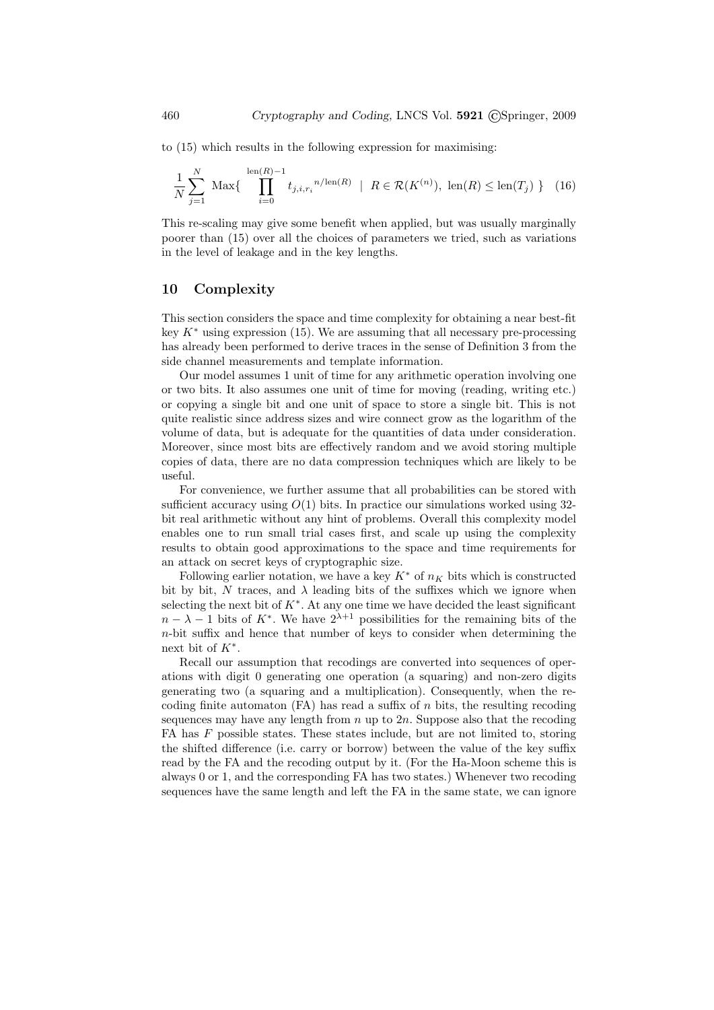to (15) which results in the following expression for maximising:

$$
\frac{1}{N} \sum_{j=1}^{N} \text{ Max} \{ \prod_{i=0}^{\text{len}(R)-1} t_{j,i,r_i}^{n/\text{len}(R)} \mid R \in \mathcal{R}(K^{(n)}), \text{ len}(R) \le \text{len}(T_j) \} \tag{16}
$$

This re-scaling may give some benefit when applied, but was usually marginally poorer than (15) over all the choices of parameters we tried, such as variations in the level of leakage and in the key lengths.

## 10 Complexity

This section considers the space and time complexity for obtaining a near best-fit key  $K^*$  using expression (15). We are assuming that all necessary pre-processing has already been performed to derive traces in the sense of Definition 3 from the side channel measurements and template information.

Our model assumes 1 unit of time for any arithmetic operation involving one or two bits. It also assumes one unit of time for moving (reading, writing etc.) or copying a single bit and one unit of space to store a single bit. This is not quite realistic since address sizes and wire connect grow as the logarithm of the volume of data, but is adequate for the quantities of data under consideration. Moreover, since most bits are effectively random and we avoid storing multiple copies of data, there are no data compression techniques which are likely to be useful.

For convenience, we further assume that all probabilities can be stored with sufficient accuracy using  $O(1)$  bits. In practice our simulations worked using 32bit real arithmetic without any hint of problems. Overall this complexity model enables one to run small trial cases first, and scale up using the complexity results to obtain good approximations to the space and time requirements for an attack on secret keys of cryptographic size.

Following earlier notation, we have a key  $K^*$  of  $n_K$  bits which is constructed bit by bit, N traces, and  $\lambda$  leading bits of the suffixes which we ignore when selecting the next bit of  $K^*$ . At any one time we have decided the least significant  $n - \lambda - 1$  bits of K<sup>\*</sup>. We have  $2^{\lambda+1}$  possibilities for the remaining bits of the  $n$ -bit suffix and hence that number of keys to consider when determining the next bit of  $K^*$ .

Recall our assumption that recodings are converted into sequences of operations with digit 0 generating one operation (a squaring) and non-zero digits generating two (a squaring and a multiplication). Consequently, when the recoding finite automaton  $(FA)$  has read a suffix of n bits, the resulting recoding sequences may have any length from  $n$  up to  $2n$ . Suppose also that the recoding FA has  $F$  possible states. These states include, but are not limited to, storing the shifted difference (i.e. carry or borrow) between the value of the key suffix read by the FA and the recoding output by it. (For the Ha-Moon scheme this is always 0 or 1, and the corresponding FA has two states.) Whenever two recoding sequences have the same length and left the FA in the same state, we can ignore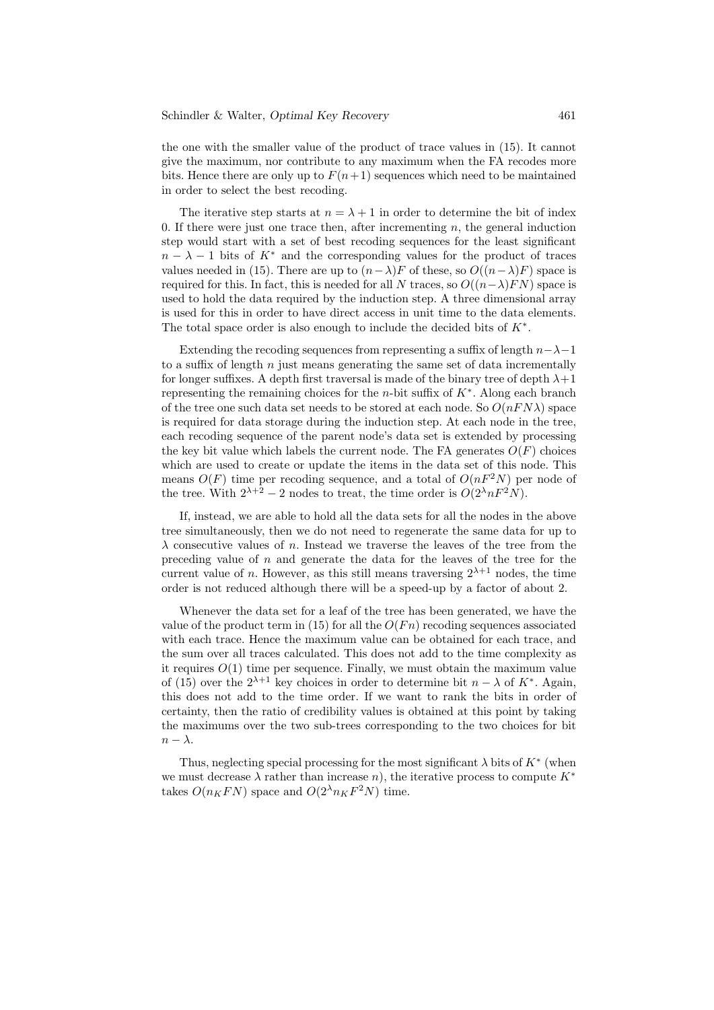the one with the smaller value of the product of trace values in (15). It cannot give the maximum, nor contribute to any maximum when the FA recodes more bits. Hence there are only up to  $F(n+1)$  sequences which need to be maintained in order to select the best recoding.

The iterative step starts at  $n = \lambda + 1$  in order to determine the bit of index 0. If there were just one trace then, after incrementing  $n$ , the general induction step would start with a set of best recoding sequences for the least significant  $n - \lambda - 1$  bits of K<sup>\*</sup> and the corresponding values for the product of traces values needed in (15). There are up to  $(n-\lambda)F$  of these, so  $O((n-\lambda)F)$  space is required for this. In fact, this is needed for all N traces, so  $O((n-\lambda)FN)$  space is used to hold the data required by the induction step. A three dimensional array is used for this in order to have direct access in unit time to the data elements. The total space order is also enough to include the decided bits of  $K^*$ .

Extending the recoding sequences from representing a suffix of length  $n-\lambda-1$ to a suffix of length  $n$  just means generating the same set of data incrementally for longer suffixes. A depth first traversal is made of the binary tree of depth  $\lambda+1$ representing the remaining choices for the *n*-bit suffix of  $K^*$ . Along each branch of the tree one such data set needs to be stored at each node. So  $O(nFN\lambda)$  space is required for data storage during the induction step. At each node in the tree, each recoding sequence of the parent node's data set is extended by processing the key bit value which labels the current node. The FA generates  $O(F)$  choices which are used to create or update the items in the data set of this node. This means  $O(F)$  time per recoding sequence, and a total of  $O(nF^2N)$  per node of the tree. With  $2^{\lambda+2} - 2$  nodes to treat, the time order is  $O(2^{\lambda} n F^2 N)$ .

If, instead, we are able to hold all the data sets for all the nodes in the above tree simultaneously, then we do not need to regenerate the same data for up to  $\lambda$  consecutive values of n. Instead we traverse the leaves of the tree from the preceding value of  $n$  and generate the data for the leaves of the tree for the current value of *n*. However, as this still means traversing  $2^{\lambda+1}$  nodes, the time order is not reduced although there will be a speed-up by a factor of about 2.

Whenever the data set for a leaf of the tree has been generated, we have the value of the product term in (15) for all the  $O(F_n)$  recoding sequences associated with each trace. Hence the maximum value can be obtained for each trace, and the sum over all traces calculated. This does not add to the time complexity as it requires  $O(1)$  time per sequence. Finally, we must obtain the maximum value of (15) over the  $2^{\lambda+1}$  key choices in order to determine bit  $n-\lambda$  of  $K^*$ . Again, this does not add to the time order. If we want to rank the bits in order of certainty, then the ratio of credibility values is obtained at this point by taking the maximums over the two sub-trees corresponding to the two choices for bit  $n - \lambda$ .

Thus, neglecting special processing for the most significant  $\lambda$  bits of  $K^*$  (when we must decrease  $\lambda$  rather than increase n), the iterative process to compute  $K^*$ takes  $O(n_K FN)$  space and  $O(2^{\lambda}n_K F^2 N)$  time.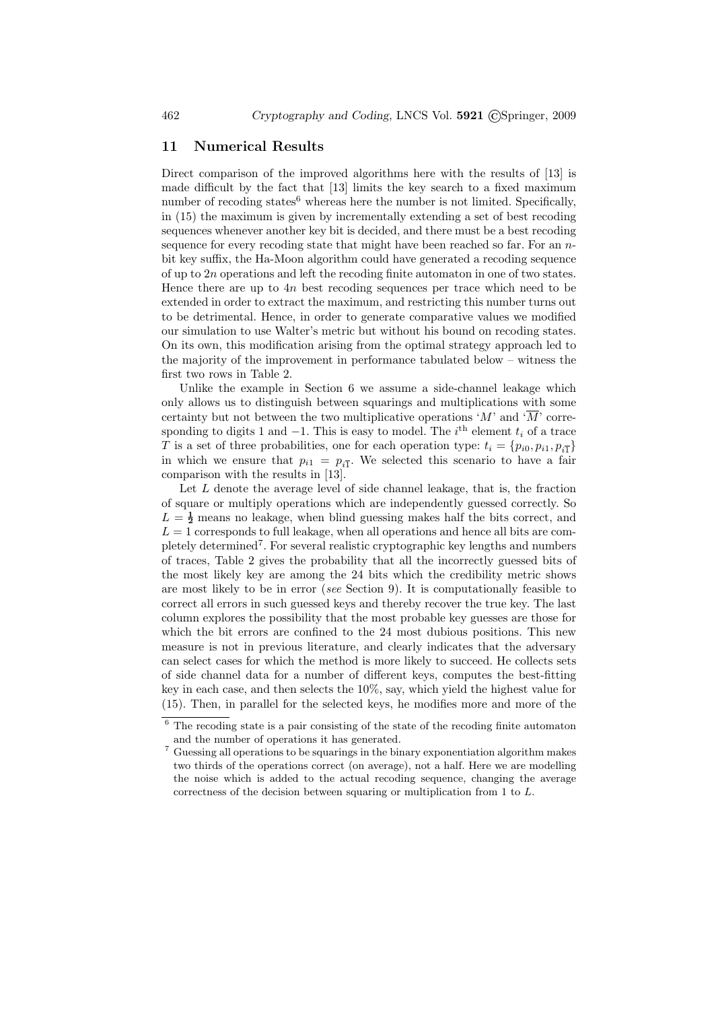## 11 Numerical Results

Direct comparison of the improved algorithms here with the results of [13] is made difficult by the fact that [13] limits the key search to a fixed maximum number of recoding states<sup>6</sup> whereas here the number is not limited. Specifically, in (15) the maximum is given by incrementally extending a set of best recoding sequences whenever another key bit is decided, and there must be a best recoding sequence for every recoding state that might have been reached so far. For an nbit key suffix, the Ha-Moon algorithm could have generated a recoding sequence of up to 2n operations and left the recoding finite automaton in one of two states. Hence there are up to  $4n$  best recoding sequences per trace which need to be extended in order to extract the maximum, and restricting this number turns out to be detrimental. Hence, in order to generate comparative values we modified our simulation to use Walter's metric but without his bound on recoding states. On its own, this modification arising from the optimal strategy approach led to the majority of the improvement in performance tabulated below – witness the first two rows in Table 2.

Unlike the example in Section 6 we assume a side-channel leakage which only allows us to distinguish between squarings and multiplications with some certainty but not between the two multiplicative operations ' $M'$  and ' $\overline{M}$ ' corresponding to digits 1 and  $-1$ . This is easy to model. The i<sup>th</sup> element  $t_i$  of a trace T is a set of three probabilities, one for each operation type:  $t_i = \{p_{i0}, p_{i1}, p_{i\overline{1}}\}$ in which we ensure that  $p_{i1} = p_{i1}$ . We selected this scenario to have a fair comparison with the results in [13].

Let  $L$  denote the average level of side channel leakage, that is, the fraction of square or multiply operations which are independently guessed correctly. So  $L = \frac{1}{2}$  means no leakage, when blind guessing makes half the bits correct, and  $L = 1$  corresponds to full leakage, when all operations and hence all bits are completely determined<sup>7</sup>. For several realistic cryptographic key lengths and numbers of traces, Table 2 gives the probability that all the incorrectly guessed bits of the most likely key are among the 24 bits which the credibility metric shows are most likely to be in error (see Section 9). It is computationally feasible to correct all errors in such guessed keys and thereby recover the true key. The last column explores the possibility that the most probable key guesses are those for which the bit errors are confined to the 24 most dubious positions. This new measure is not in previous literature, and clearly indicates that the adversary can select cases for which the method is more likely to succeed. He collects sets of side channel data for a number of different keys, computes the best-fitting key in each case, and then selects the 10%, say, which yield the highest value for (15). Then, in parallel for the selected keys, he modifies more and more of the

<sup>6</sup> The recoding state is a pair consisting of the state of the recoding finite automaton and the number of operations it has generated.

<sup>7</sup> Guessing all operations to be squarings in the binary exponentiation algorithm makes two thirds of the operations correct (on average), not a half. Here we are modelling the noise which is added to the actual recoding sequence, changing the average correctness of the decision between squaring or multiplication from 1 to L.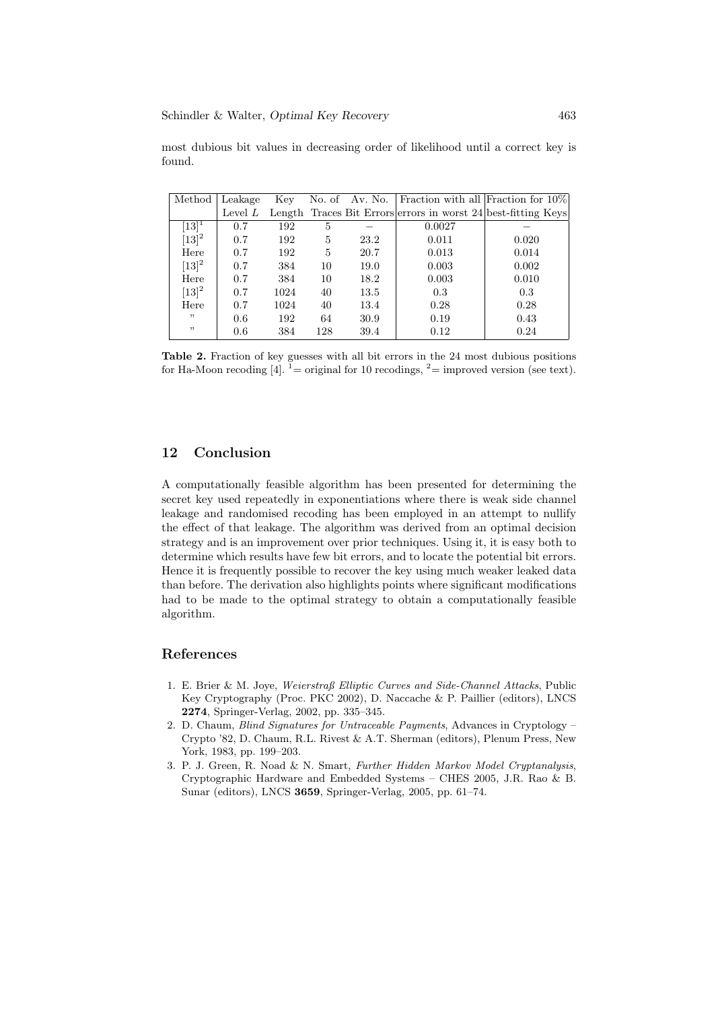most dubious bit values in decreasing order of likelihood until a correct key is found.

| Method     | Leakage   | Key  |     |      | No. of Av. No.   Fraction with all Fraction for $10\%$        |       |
|------------|-----------|------|-----|------|---------------------------------------------------------------|-------|
|            | Level $L$ |      |     |      | Length Traces Bit Errors errors in worst 24 best-fitting Keys |       |
| $[13]^1$   | 0.7       | 192  | 5   |      | 0.0027                                                        |       |
| $[13]^{2}$ | 0.7       | 192  | 5   | 23.2 | 0.011                                                         | 0.020 |
| Here       | 0.7       | 192  | 5   | 20.7 | 0.013                                                         | 0.014 |
| $[13]^{2}$ | 0.7       | 384  | 10  | 19.0 | 0.003                                                         | 0.002 |
| Here       | 0.7       | 384  | 10  | 18.2 | 0.003                                                         | 0.010 |
| $[13]^{2}$ | 0.7       | 1024 | 40  | 13.5 | 0.3                                                           | 0.3   |
| Here       | 0.7       | 1024 | 40  | 13.4 | 0.28                                                          | 0.28  |
| "          | 0.6       | 192  | 64  | 30.9 | 0.19                                                          | 0.43  |
| "          | 0.6       | 384  | 128 | 39.4 | 0.12                                                          | 0.24  |

Table 2. Fraction of key guesses with all bit errors in the 24 most dubious positions for Ha-Moon recoding [4]. <sup>1</sup> = original for 10 recodings, <sup>2</sup> = improved version (see text).

# 12 Conclusion

A computationally feasible algorithm has been presented for determining the secret key used repeatedly in exponentiations where there is weak side channel leakage and randomised recoding has been employed in an attempt to nullify the effect of that leakage. The algorithm was derived from an optimal decision strategy and is an improvement over prior techniques. Using it, it is easy both to determine which results have few bit errors, and to locate the potential bit errors. Hence it is frequently possible to recover the key using much weaker leaked data than before. The derivation also highlights points where significant modifications had to be made to the optimal strategy to obtain a computationally feasible algorithm.

# References

- 1. E. Brier & M. Joye, Weierstraß Elliptic Curves and Side-Channel Attacks, Public Key Cryptography (Proc. PKC 2002), D. Naccache & P. Paillier (editors), LNCS 2274, Springer-Verlag, 2002, pp. 335–345.
- 2. D. Chaum, Blind Signatures for Untraceable Payments, Advances in Cryptology Crypto '82, D. Chaum, R.L. Rivest & A.T. Sherman (editors), Plenum Press, New York, 1983, pp. 199–203.
- 3. P. J. Green, R. Noad & N. Smart, Further Hidden Markov Model Cryptanalysis, Cryptographic Hardware and Embedded Systems – CHES 2005, J.R. Rao & B. Sunar (editors), LNCS 3659, Springer-Verlag, 2005, pp. 61–74.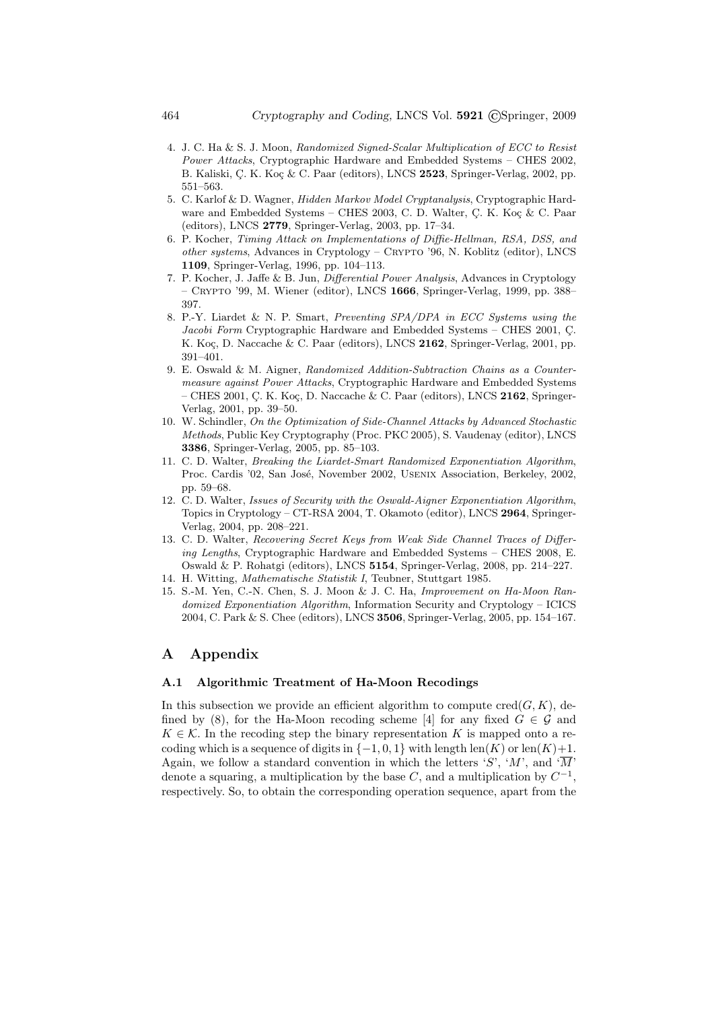- 4. J. C. Ha & S. J. Moon, Randomized Signed-Scalar Multiplication of ECC to Resist Power Attacks, Cryptographic Hardware and Embedded Systems – CHES 2002, B. Kaliski, C. K. Koç & C. Paar (editors), LNCS 2523, Springer-Verlag, 2002, pp. 551–563.
- 5. C. Karlof & D. Wagner, Hidden Markov Model Cryptanalysis, Cryptographic Hardware and Embedded Systems - CHES 2003, C. D. Walter, Ç. K. Koç & C. Paar (editors), LNCS 2779, Springer-Verlag, 2003, pp. 17–34.
- 6. P. Kocher, Timing Attack on Implementations of Diffie-Hellman, RSA, DSS, and other systems, Advances in Cryptology – CRYPTO '96, N. Koblitz (editor), LNCS 1109, Springer-Verlag, 1996, pp. 104–113.
- 7. P. Kocher, J. Jaffe & B. Jun, Differential Power Analysis, Advances in Cryptology – Crypto '99, M. Wiener (editor), LNCS 1666, Springer-Verlag, 1999, pp. 388– 397.
- 8. P.-Y. Liardet & N. P. Smart, Preventing SPA/DPA in ECC Systems using the Jacobi Form Cryptographic Hardware and Embedded Systems – CHES 2001, C. K. Koç, D. Naccache & C. Paar (editors), LNCS 2162, Springer-Verlag, 2001, pp. 391–401.
- 9. E. Oswald & M. Aigner, Randomized Addition-Subtraction Chains as a Countermeasure against Power Attacks, Cryptographic Hardware and Embedded Systems – CHES 2001, Ç. K. Koç, D. Naccache & C. Paar (editors), LNCS 2162, Springer-Verlag, 2001, pp. 39–50.
- 10. W. Schindler, On the Optimization of Side-Channel Attacks by Advanced Stochastic Methods, Public Key Cryptography (Proc. PKC 2005), S. Vaudenay (editor), LNCS 3386, Springer-Verlag, 2005, pp. 85–103.
- 11. C. D. Walter, Breaking the Liardet-Smart Randomized Exponentiation Algorithm, Proc. Cardis '02, San José, November 2002, USENIX Association, Berkeley, 2002, pp. 59–68.
- 12. C. D. Walter, Issues of Security with the Oswald-Aigner Exponentiation Algorithm, Topics in Cryptology – CT-RSA 2004, T. Okamoto (editor), LNCS 2964, Springer-Verlag, 2004, pp. 208–221.
- 13. C. D. Walter, Recovering Secret Keys from Weak Side Channel Traces of Differing Lengths, Cryptographic Hardware and Embedded Systems – CHES 2008, E. Oswald & P. Rohatgi (editors), LNCS 5154, Springer-Verlag, 2008, pp. 214–227.
- 14. H. Witting, Mathematische Statistik I, Teubner, Stuttgart 1985.
- 15. S.-M. Yen, C.-N. Chen, S. J. Moon & J. C. Ha, Improvement on Ha-Moon Randomized Exponentiation Algorithm, Information Security and Cryptology – ICICS 2004, C. Park & S. Chee (editors), LNCS 3506, Springer-Verlag, 2005, pp. 154–167.

# A Appendix

#### A.1 Algorithmic Treatment of Ha-Moon Recodings

In this subsection we provide an efficient algorithm to compute  $\text{cred}(G, K)$ , defined by (8), for the Ha-Moon recoding scheme [4] for any fixed  $G \in \mathcal{G}$  and  $K \in \mathcal{K}$ . In the recoding step the binary representation K is mapped onto a recoding which is a sequence of digits in  $\{-1, 0, 1\}$  with length len $(K)$  or len $(K)+1$ . Again, we follow a standard convention in which the letters 'S', 'M', and ' $\overline{M}$ ' denote a squaring, a multiplication by the base C, and a multiplication by  $C^{-1}$ , respectively. So, to obtain the corresponding operation sequence, apart from the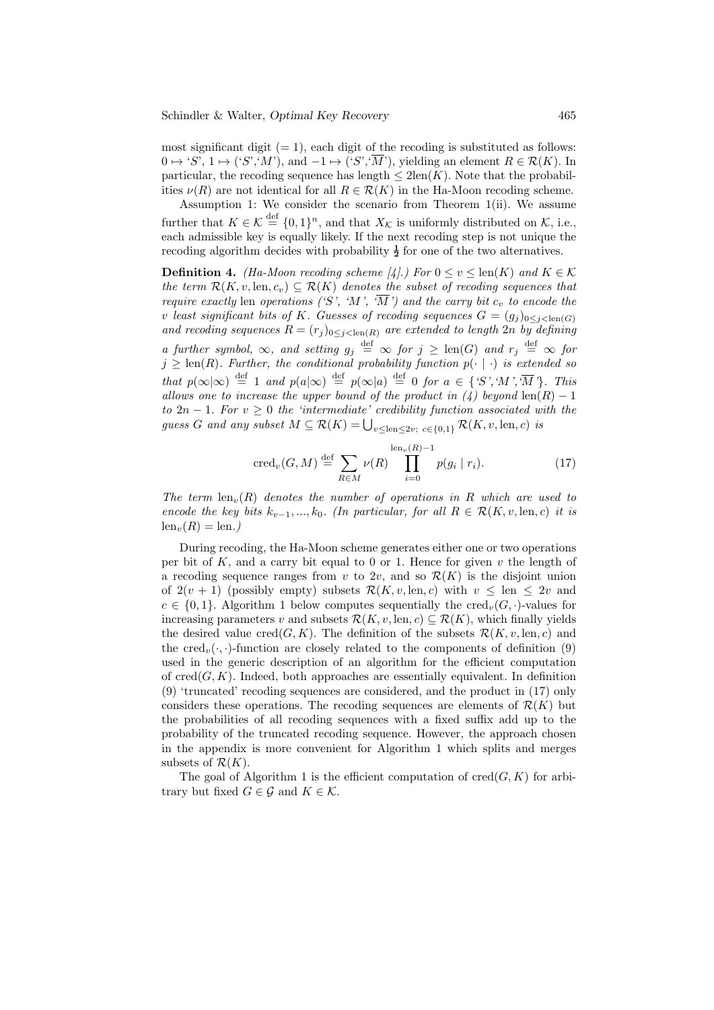most significant digit  $(= 1)$ , each digit of the recoding is substituted as follows:  $0 \mapsto 'S', 1 \mapsto ('S', M'),$  and  $-1 \mapsto ('S', M'),$  yielding an element  $R \in \mathcal{R}(K)$ . In particular, the recoding sequence has length  $\leq 2\text{len}(K)$ . Note that the probabilities  $\nu(R)$  are not identical for all  $R \in \mathcal{R}(K)$  in the Ha-Moon recoding scheme.

Assumption 1: We consider the scenario from Theorem 1(ii). We assume further that  $K \in \mathcal{K} \stackrel{\text{def}}{=} \{0,1\}^n$ , and that  $X_{\mathcal{K}}$  is uniformly distributed on  $\mathcal{K}$ , i.e., each admissible key is equally likely. If the next recoding step is not unique the recoding algorithm decides with probability  $\frac{1}{2}$  for one of the two alternatives.

**Definition 4.** (Ha-Moon recoding scheme [4].) For  $0 \le v \le \text{len}(K)$  and  $K \in \mathcal{K}$ the term  $\mathcal{R}(K, v, \text{len}, c_v) \subseteq \mathcal{R}(K)$  denotes the subset of recoding sequences that require exactly len operations ('S', 'M',  $\overline{M}$ ') and the carry bit  $c_v$  to encode the v least significant bits of K. Guesses of recoding sequences  $G = (g_j)_{0 \leq j \leq \text{len}(G)}$ and recoding sequences  $R = (r_j)_{0 \leq j \leq \text{len}(R)}$  are extended to length 2n by defining a further symbol,  $\infty$ , and setting  $g_j \stackrel{\text{def}}{=} \infty$  for  $j \ge \text{len}(G)$  and  $r_j \stackrel{\text{def}}{=} \infty$  for  $j \geq \text{len}(R)$ . Further, the conditional probability function  $p(\cdot | \cdot)$  is extended so that  $p(\infty|\infty) \stackrel{\text{def}}{=} 1$  and  $p(a|\infty) \stackrel{\text{def}}{=} p(\infty|a) \stackrel{\text{def}}{=} 0$  for  $a \in \{S', W', \overline{M'}\}.$  This allows one to increase the upper bound of the product in (4) beyond  $\text{len}(R) - 1$ to  $2n-1$ . For  $v \geq 0$  the 'intermediate' credibility function associated with the guess G and any subset  $M \subseteq \mathcal{R}(K) = \bigcup_{v \leq \text{len} \leq 2v; c \in \{0,1\}} \mathcal{R}(K, v, \text{len}, c)$  is

$$
\operatorname{cred}_v(G, M) \stackrel{\text{def}}{=} \sum_{R \in M} \nu(R) \prod_{i=0}^{\operatorname{len}_v(R)-1} p(g_i \mid r_i). \tag{17}
$$

The term  $\text{len}_v(R)$  denotes the number of operations in R which are used to encode the key bits  $k_{v-1},...,k_0$ . (In particular, for all  $R \in \mathcal{R}(K, v, \text{len}, c)$  it is  $len_v(R) = len.$ )

During recoding, the Ha-Moon scheme generates either one or two operations per bit of K, and a carry bit equal to 0 or 1. Hence for given  $v$  the length of a recoding sequence ranges from v to 2v, and so  $\mathcal{R}(K)$  is the disjoint union of  $2(v + 1)$  (possibly empty) subsets  $\mathcal{R}(K, v, \text{len}, c)$  with  $v \leq \text{len} \leq 2v$  and  $c \in \{0,1\}$ . Algorithm 1 below computes sequentially the cred<sub>v</sub> $(G, \cdot)$ -values for increasing parameters v and subsets  $\mathcal{R}(K, v, \text{len}, c) \subseteq \mathcal{R}(K)$ , which finally yields the desired value cred $(G, K)$ . The definition of the subsets  $\mathcal{R}(K, v, \text{len}, c)$  and the cred<sub>v</sub>( $\cdot$ , $\cdot$ )-function are closely related to the components of definition (9) used in the generic description of an algorithm for the efficient computation of cred $(G, K)$ . Indeed, both approaches are essentially equivalent. In definition (9) 'truncated' recoding sequences are considered, and the product in (17) only considers these operations. The recoding sequences are elements of  $\mathcal{R}(K)$  but the probabilities of all recoding sequences with a fixed suffix add up to the probability of the truncated recoding sequence. However, the approach chosen in the appendix is more convenient for Algorithm 1 which splits and merges subsets of  $\mathcal{R}(K)$ .

The goal of Algorithm 1 is the efficient computation of  $\text{cred}(G, K)$  for arbitrary but fixed  $G \in \mathcal{G}$  and  $K \in \mathcal{K}$ .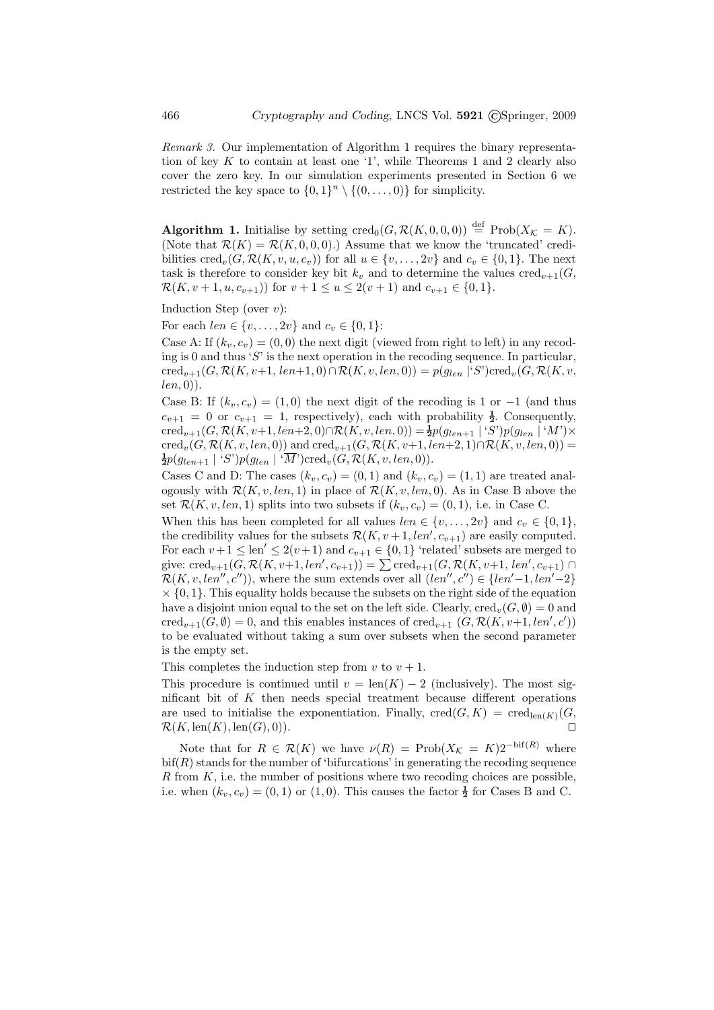Remark 3. Our implementation of Algorithm 1 requires the binary representation of key  $K$  to contain at least one '1', while Theorems 1 and 2 clearly also cover the zero key. In our simulation experiments presented in Section 6 we restricted the key space to  $\{0,1\}^n \setminus \{(0,\ldots,0)\}$  for simplicity.

**Algorithm 1.** Initialise by setting  $\text{cred}_0(G, \mathcal{R}(K, 0, 0, 0)) \stackrel{\text{def}}{=} \text{Prob}(X_{\mathcal{K}} = K)$ . (Note that  $\mathcal{R}(K) = \mathcal{R}(K, 0, 0, 0)$ .) Assume that we know the 'truncated' credibilities cred<sub>v</sub> $(G, \mathcal{R}(K, v, u, c_v))$  for all  $u \in \{v, \ldots, 2v\}$  and  $c_v \in \{0, 1\}$ . The next task is therefore to consider key bit  $k_v$  and to determine the values  $\operatorname{cred}_{v+1}(G,$  $\mathcal{R}(K, v+1, u, c_{v+1})$  for  $v+1 \le u \le 2(v+1)$  and  $c_{v+1} \in \{0, 1\}.$ 

Induction Step (over  $v$ ):

For each  $len \in \{v, ..., 2v\}$  and  $c_v \in \{0, 1\}$ :

Case A: If  $(k_v, c_v) = (0, 0)$  the next digit (viewed from right to left) in any recoding is 0 and thus  $'S'$  is the next operation in the recoding sequence. In particular,  $\operatorname{cred}_{v+1}(G, \mathcal{R}(K, v+1, len+1, 0) \cap \mathcal{R}(K, v, len, 0)) = p(g_{len} | S') \operatorname{cred}_{v}(G, \mathcal{R}(K, v,$  $len, 0)$ ).

Case B: If  $(k_v, c_v) = (1, 0)$  the next digit of the recoding is 1 or  $-1$  (and thus  $c_{v+1} = 0$  or  $c_{v+1} = 1$ , respectively), each with probability  $\frac{1}{2}$ . Consequently, cred<sub>v+1</sub>(G, R(K, v+1, len+2, 0)∩R(K, v, len, 0)) =  $\frac{1}{2}p(g_{len+1} | S)p(g_{len} | M') \times$  $\text{cred}_v(G, \mathcal{R}(K, v, len, 0))$  and  $\text{cred}_{v+1}(G, \mathcal{R}(K, v+1, len+2, 1) \cap \mathcal{R}(K, v, len, 0)) =$  $\frac{1}{2}p(g_{len+1} | S')p(g_{len} | \overline{M'})\text{cred}_v(G, \mathcal{R}(K, v, len, 0)).$ 

Cases C and D: The cases  $(k_v, c_v) = (0, 1)$  and  $(k_v, c_v) = (1, 1)$  are treated analogously with  $\mathcal{R}(K, v, len, 1)$  in place of  $\mathcal{R}(K, v, len, 0)$ . As in Case B above the set  $\mathcal{R}(K, v, len, 1)$  splits into two subsets if  $(k_v, c_v) = (0, 1)$ , i.e. in Case C.

When this has been completed for all values  $len \in \{v, \ldots, 2v\}$  and  $c_v \in \{0, 1\}$ , the credibility values for the subsets  $\mathcal{R}(K, v+1, len', c_{v+1})$  are easily computed. For each  $v+1 \leq \text{len}' \leq 2(v+1)$  and  $c_{v+1} \in \{0,1\}$  'related' subsets are merged to give:  $\text{cred}_{v+1}(G, \mathcal{R}(K, v+1, len', c_{v+1})) = \sum \text{cred}_{v+1}(G, \mathcal{R}(K, v+1, len', c_{v+1})) \cap$  $\mathcal{R}(K, v, len'', c''))$ , where the sum extends over all  $(len'', c'') \in \{len'-1, len'-2\}$  $\times \{0,1\}$ . This equality holds because the subsets on the right side of the equation have a disjoint union equal to the set on the left side. Clearly,  $\text{cred}_v(G, \emptyset) = 0$  and cred<sub>v+1</sub>( $G, \emptyset$ ) = 0, and this enables instances of cred<sub>v+1</sub> ( $G, \mathcal{R}(K, v+1, len', c')$ ) to be evaluated without taking a sum over subsets when the second parameter is the empty set.

This completes the induction step from  $v$  to  $v + 1$ .

This procedure is continued until  $v = \text{len}(K) - 2$  (inclusively). The most significant bit of  $K$  then needs special treatment because different operations are used to initialise the exponentiation. Finally,  $\text{cred}(G, K) = \text{cred}_{\text{len}(K)}(G,$  $\mathcal{R}(K, \text{len}(K), \text{len}(G), 0)).$ 

Note that for  $R \in \mathcal{R}(K)$  we have  $\nu(R) = \text{Prob}(X_{\mathcal{K}} = K)2^{-\text{bif}(R)}$  where  $\text{bif}(R)$  stands for the number of 'bifurcations' in generating the recoding sequence R from  $K$ , i.e. the number of positions where two recoding choices are possible, i.e. when  $(k_v, c_v) = (0, 1)$  or  $(1, 0)$ . This causes the factor  $\frac{1}{2}$  for Cases B and C.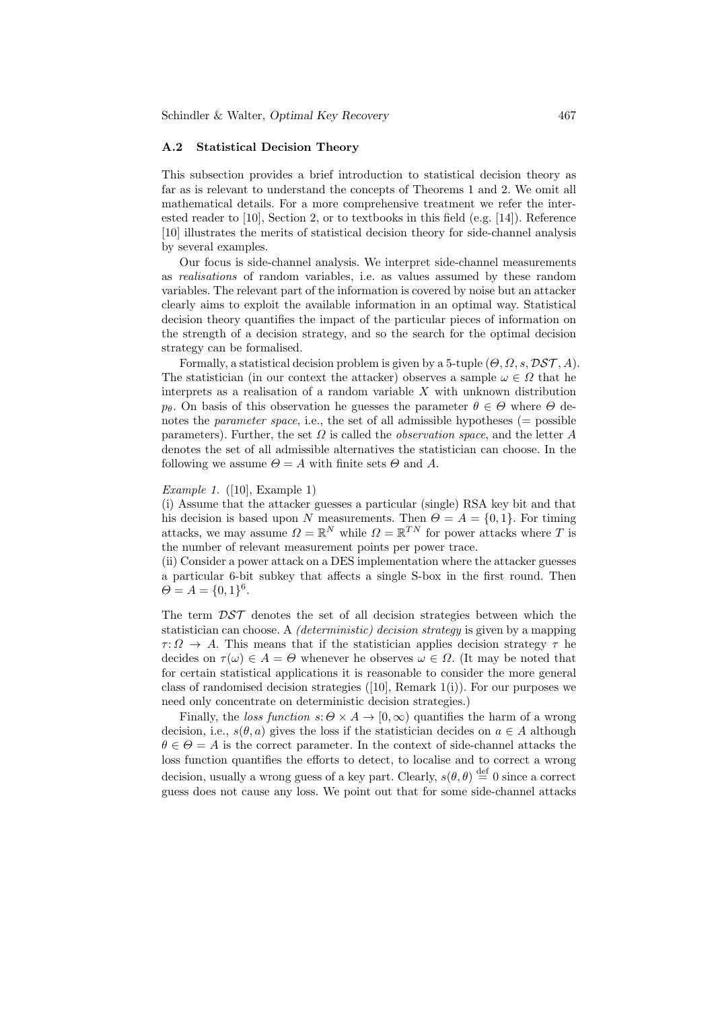#### A.2 Statistical Decision Theory

This subsection provides a brief introduction to statistical decision theory as far as is relevant to understand the concepts of Theorems 1 and 2. We omit all mathematical details. For a more comprehensive treatment we refer the interested reader to [10], Section 2, or to textbooks in this field (e.g. [14]). Reference [10] illustrates the merits of statistical decision theory for side-channel analysis by several examples.

Our focus is side-channel analysis. We interpret side-channel measurements as realisations of random variables, i.e. as values assumed by these random variables. The relevant part of the information is covered by noise but an attacker clearly aims to exploit the available information in an optimal way. Statistical decision theory quantifies the impact of the particular pieces of information on the strength of a decision strategy, and so the search for the optimal decision strategy can be formalised.

Formally, a statistical decision problem is given by a 5-tuple  $(\Theta, \Omega, s, \mathcal{DST}, A)$ . The statistician (in our context the attacker) observes a sample  $\omega \in \Omega$  that he interprets as a realisation of a random variable  $X$  with unknown distribution  $p_{\theta}$ . On basis of this observation he guesses the parameter  $\theta \in \Theta$  where  $\Theta$  denotes the *parameter space*, i.e., the set of all admissible hypotheses ( $=$  possible parameters). Further, the set  $\Omega$  is called the *observation space*, and the letter  $A$ denotes the set of all admissible alternatives the statistician can choose. In the following we assume  $\Theta = A$  with finite sets  $\Theta$  and A.

#### Example 1. ([10], Example 1)

(i) Assume that the attacker guesses a particular (single) RSA key bit and that his decision is based upon N measurements. Then  $\Theta = A = \{0, 1\}$ . For timing attacks, we may assume  $\Omega = \mathbb{R}^N$  while  $\Omega = \mathbb{R}^{TN}$  for power attacks where T is the number of relevant measurement points per power trace.

(ii) Consider a power attack on a DES implementation where the attacker guesses a particular 6-bit subkey that affects a single S-box in the first round. Then  $\Theta = A = \{0, 1\}^6.$ 

The term DST denotes the set of all decision strategies between which the statistician can choose. A (deterministic) decision strategy is given by a mapping  $\tau : \Omega \to A$ . This means that if the statistician applies decision strategy  $\tau$  he decides on  $\tau(\omega) \in A = \Theta$  whenever he observes  $\omega \in \Omega$ . (It may be noted that for certain statistical applications it is reasonable to consider the more general class of randomised decision strategies ([10], Remark 1(i)). For our purposes we need only concentrate on deterministic decision strategies.)

Finally, the loss function  $s: \Theta \times A \rightarrow [0, \infty)$  quantifies the harm of a wrong decision, i.e.,  $s(\theta, a)$  gives the loss if the statistician decides on  $a \in A$  although  $\theta \in \Theta = A$  is the correct parameter. In the context of side-channel attacks the loss function quantifies the efforts to detect, to localise and to correct a wrong decision, usually a wrong guess of a key part. Clearly,  $s(\theta, \theta) \stackrel{\text{def}}{=} 0$  since a correct guess does not cause any loss. We point out that for some side-channel attacks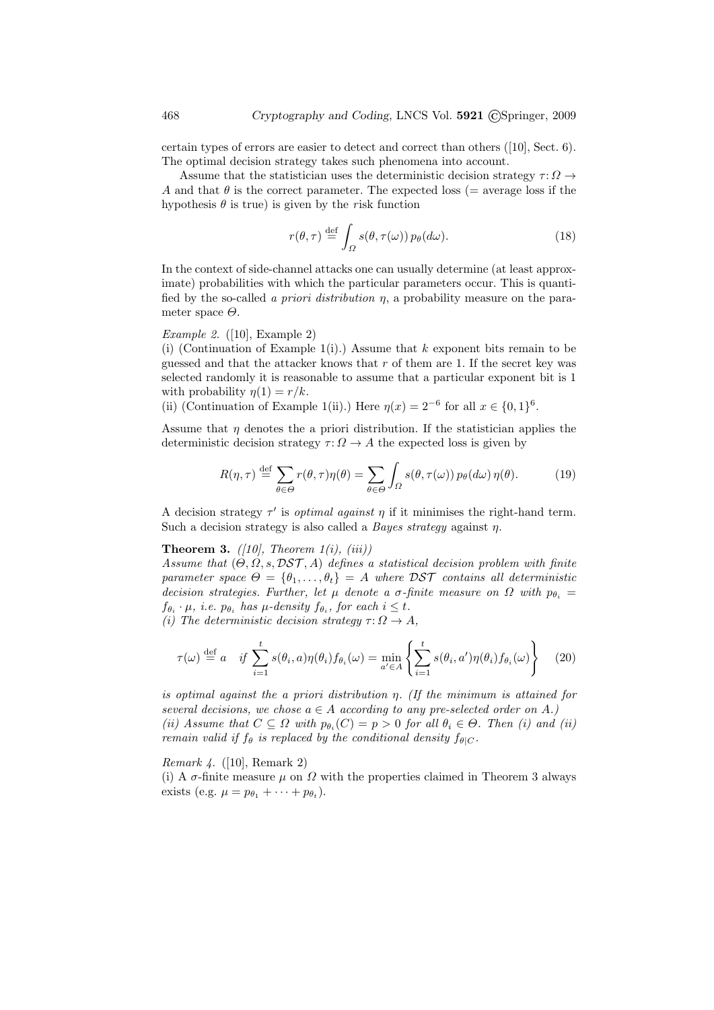certain types of errors are easier to detect and correct than others ([10], Sect. 6). The optimal decision strategy takes such phenomena into account.

Assume that the statistician uses the deterministic decision strategy  $\tau : \Omega \to$ A and that  $\theta$  is the correct parameter. The expected loss (= average loss if the hypothesis  $\theta$  is true) is given by the risk function

$$
r(\theta, \tau) \stackrel{\text{def}}{=} \int_{\Omega} s(\theta, \tau(\omega)) p_{\theta}(d\omega).
$$
 (18)

In the context of side-channel attacks one can usually determine (at least approximate) probabilities with which the particular parameters occur. This is quantified by the so-called a priori distribution  $\eta$ , a probability measure on the parameter space  $\Theta$ .

## Example 2. ([10], Example 2)

(i) (Continuation of Example 1(i).) Assume that  $k$  exponent bits remain to be guessed and that the attacker knows that  $r$  of them are 1. If the secret key was selected randomly it is reasonable to assume that a particular exponent bit is 1 with probability  $\eta(1) = r/k$ .

(ii) (Continuation of Example 1(ii).) Here  $\eta(x) = 2^{-6}$  for all  $x \in \{0,1\}^6$ .

Assume that  $\eta$  denotes the a priori distribution. If the statistician applies the deterministic decision strategy  $\tau: \Omega \to A$  the expected loss is given by

$$
R(\eta,\tau) \stackrel{\text{def}}{=} \sum_{\theta \in \Theta} r(\theta,\tau)\eta(\theta) = \sum_{\theta \in \Theta} \int_{\Omega} s(\theta,\tau(\omega)) \, p_{\theta}(d\omega) \, \eta(\theta). \tag{19}
$$

A decision strategy  $\tau'$  is *optimal against*  $\eta$  if it minimises the right-hand term. Such a decision strategy is also called a *Bayes strategy* against  $\eta$ .

# **Theorem 3.** ([10], Theorem  $1(i)$ , (iii))

Assume that  $(\Theta, \Omega, s, \mathcal{DST}, A)$  defines a statistical decision problem with finite parameter space  $\Theta = {\theta_1, ..., \theta_t} = A$  where DST contains all deterministic decision strategies. Further, let  $\mu$  denote a  $\sigma$ -finite measure on  $\Omega$  with  $p_{\theta_i} =$  $f_{\theta_i} \cdot \mu$ , i.e.  $p_{\theta_i}$  has  $\mu$ -density  $f_{\theta_i}$ , for each  $i \leq t$ . (i) The deterministic decision strategy  $\tau: \Omega \to A$ ,

$$
\tau(\omega) \stackrel{\text{def}}{=} a \quad \text{if } \sum_{i=1}^{t} s(\theta_i, a) \eta(\theta_i) f_{\theta_i}(\omega) = \min_{a' \in A} \left\{ \sum_{i=1}^{t} s(\theta_i, a') \eta(\theta_i) f_{\theta_i}(\omega) \right\} \tag{20}
$$

is optimal against the a priori distribution  $\eta$ . (If the minimum is attained for several decisions, we chose  $a \in A$  according to any pre-selected order on A.) (ii) Assume that  $C \subseteq \Omega$  with  $p_{\theta_i}(C) = p > 0$  for all  $\theta_i \in \Theta$ . Then (i) and (ii) remain valid if  $f_{\theta}$  is replaced by the conditional density  $f_{\theta|C}$ .

Remark 4. ([10], Remark 2)

(i) A  $\sigma$ -finite measure  $\mu$  on  $\Omega$  with the properties claimed in Theorem 3 always exists (e.g.  $\mu = p_{\theta_1} + \cdots + p_{\theta_t}$ ).